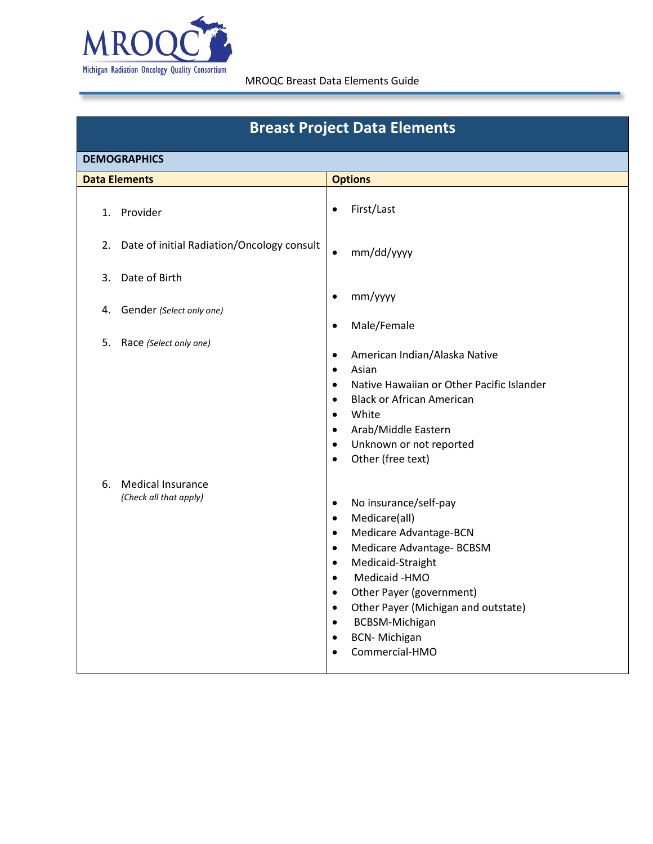

| <b>Breast Project Data Elements</b>                      |                                                                                                                                                                                                                                                                                                                                                                                                            |  |  |
|----------------------------------------------------------|------------------------------------------------------------------------------------------------------------------------------------------------------------------------------------------------------------------------------------------------------------------------------------------------------------------------------------------------------------------------------------------------------------|--|--|
| <b>DEMOGRAPHICS</b>                                      |                                                                                                                                                                                                                                                                                                                                                                                                            |  |  |
| <b>Data Elements</b>                                     | <b>Options</b>                                                                                                                                                                                                                                                                                                                                                                                             |  |  |
| Provider<br>1.                                           | First/Last<br>$\bullet$                                                                                                                                                                                                                                                                                                                                                                                    |  |  |
| Date of initial Radiation/Oncology consult<br>2.         | mm/dd/yyyy<br>$\bullet$                                                                                                                                                                                                                                                                                                                                                                                    |  |  |
| Date of Birth<br>3.                                      |                                                                                                                                                                                                                                                                                                                                                                                                            |  |  |
| Gender (Select only one)<br>4.                           | mm/yyyy<br>$\bullet$<br>Male/Female<br>$\bullet$                                                                                                                                                                                                                                                                                                                                                           |  |  |
| 5.<br>Race (Select only one)                             | American Indian/Alaska Native<br>$\bullet$<br>Asian<br>$\bullet$<br>Native Hawaiian or Other Pacific Islander<br>$\bullet$<br><b>Black or African American</b><br>$\bullet$<br>White<br>$\bullet$<br>Arab/Middle Eastern<br>$\bullet$<br>Unknown or not reported<br>$\bullet$<br>Other (free text)<br>$\bullet$                                                                                            |  |  |
| <b>Medical Insurance</b><br>6.<br>(Check all that apply) | No insurance/self-pay<br>$\bullet$<br>Medicare(all)<br>$\bullet$<br>Medicare Advantage-BCN<br>$\bullet$<br>Medicare Advantage- BCBSM<br>$\bullet$<br>Medicaid-Straight<br>$\bullet$<br>Medicaid -HMO<br>$\bullet$<br>Other Payer (government)<br>$\bullet$<br>Other Payer (Michigan and outstate)<br>$\bullet$<br><b>BCBSM-Michigan</b><br>$\bullet$<br><b>BCN-Michigan</b><br>$\bullet$<br>Commercial-HMO |  |  |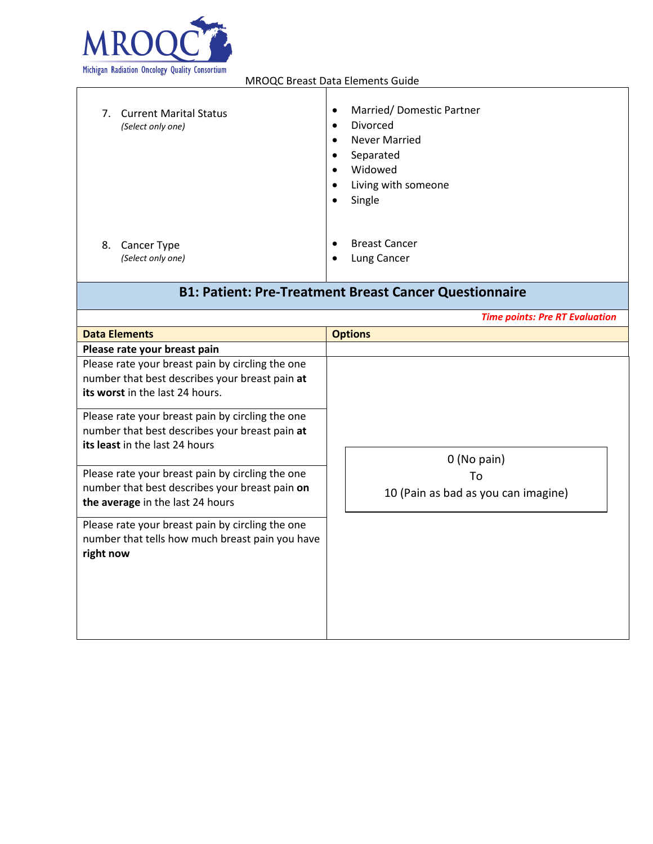

| 7. | <b>Current Marital Status</b><br>(Select only one) | $\bullet$<br>$\bullet$<br>$\bullet$<br>٠<br>$\bullet$<br>$\bullet$<br>٠ | Married/Domestic Partner<br>Divorced<br><b>Never Married</b><br>Separated<br>Widowed<br>Living with someone<br>Single |
|----|----------------------------------------------------|-------------------------------------------------------------------------|-----------------------------------------------------------------------------------------------------------------------|
| 8. | Cancer Type                                        | $\bullet$                                                               | <b>Breast Cancer</b>                                                                                                  |
|    | (Select only one)                                  | $\bullet$                                                               | Lung Cancer                                                                                                           |

# **B1: Patient: Pre-Treatment Breast Cancer Questionnaire**

|                                                                                                                                        | <b>Time points: Pre RT Evaluation</b>     |
|----------------------------------------------------------------------------------------------------------------------------------------|-------------------------------------------|
| <b>Data Elements</b>                                                                                                                   | <b>Options</b>                            |
| Please rate your breast pain                                                                                                           |                                           |
| Please rate your breast pain by circling the one<br>number that best describes your breast pain at<br>its worst in the last 24 hours.  |                                           |
| Please rate your breast pain by circling the one<br>number that best describes your breast pain at<br>its least in the last 24 hours   | $0$ (No pain)                             |
| Please rate your breast pain by circling the one<br>number that best describes your breast pain on<br>the average in the last 24 hours | Т٥<br>10 (Pain as bad as you can imagine) |
| Please rate your breast pain by circling the one<br>number that tells how much breast pain you have<br>right now                       |                                           |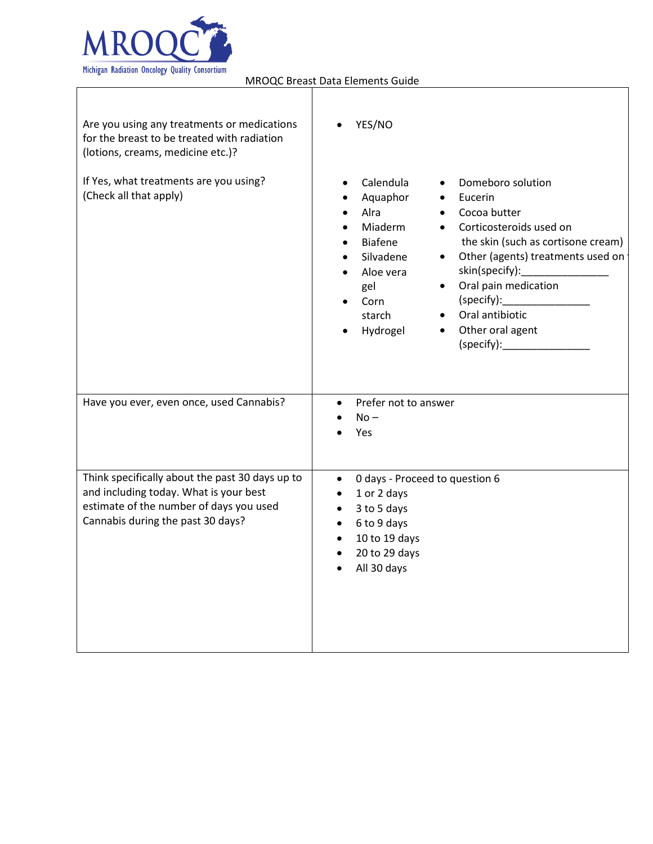

| Are you using any treatments or medications<br>for the breast to be treated with radiation<br>(lotions, creams, medicine etc.)?                                           | YES/NO                                                                                                                                                                                                                                                                                                                                                                                      |
|---------------------------------------------------------------------------------------------------------------------------------------------------------------------------|---------------------------------------------------------------------------------------------------------------------------------------------------------------------------------------------------------------------------------------------------------------------------------------------------------------------------------------------------------------------------------------------|
| If Yes, what treatments are you using?<br>(Check all that apply)                                                                                                          | Calendula<br>Domeboro solution<br>Aquaphor<br>Eucerin<br>Alra<br>Cocoa butter<br>Miaderm<br>Corticosteroids used on<br>the skin (such as cortisone cream)<br><b>Biafene</b><br>Other (agents) treatments used on<br>Silvadene<br>$\bullet$<br>skin(specify):<br>Aloe vera<br>Oral pain medication<br>gel<br>(specify):<br>Corn<br>Oral antibiotic<br>starch<br>Other oral agent<br>Hydrogel |
| Have you ever, even once, used Cannabis?                                                                                                                                  | Prefer not to answer<br>$\bullet$<br>$No -$<br>Yes                                                                                                                                                                                                                                                                                                                                          |
| Think specifically about the past 30 days up to<br>and including today. What is your best<br>estimate of the number of days you used<br>Cannabis during the past 30 days? | 0 days - Proceed to question 6<br>$\bullet$<br>1 or 2 days<br>$\bullet$<br>3 to 5 days<br>$\bullet$<br>6 to 9 days<br>$\bullet$<br>10 to 19 days<br>$\bullet$<br>20 to 29 days<br>$\bullet$<br>All 30 days                                                                                                                                                                                  |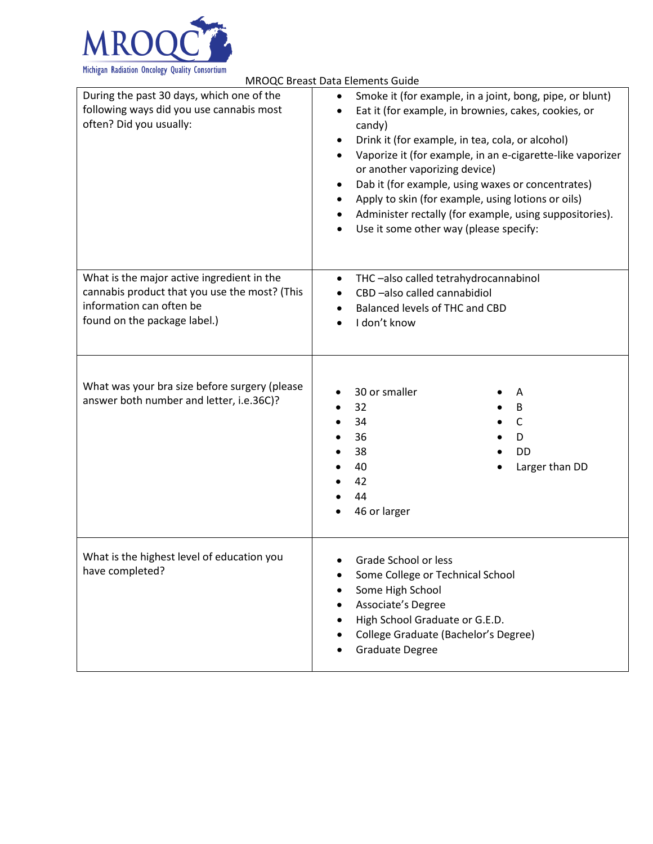

| <b>MROQC Breast Data Elements Guide</b>                                                                                                                 |                                                                                                                                                                                                                                                                                                                                                                                                                                                                                                                                   |  |  |
|---------------------------------------------------------------------------------------------------------------------------------------------------------|-----------------------------------------------------------------------------------------------------------------------------------------------------------------------------------------------------------------------------------------------------------------------------------------------------------------------------------------------------------------------------------------------------------------------------------------------------------------------------------------------------------------------------------|--|--|
| During the past 30 days, which one of the<br>following ways did you use cannabis most<br>often? Did you usually:                                        | Smoke it (for example, in a joint, bong, pipe, or blunt)<br>Eat it (for example, in brownies, cakes, cookies, or<br>$\bullet$<br>candy)<br>Drink it (for example, in tea, cola, or alcohol)<br>٠<br>Vaporize it (for example, in an e-cigarette-like vaporizer<br>$\bullet$<br>or another vaporizing device)<br>Dab it (for example, using waxes or concentrates)<br>٠<br>Apply to skin (for example, using lotions or oils)<br>Administer rectally (for example, using suppositories).<br>Use it some other way (please specify: |  |  |
| What is the major active ingredient in the<br>cannabis product that you use the most? (This<br>information can often be<br>found on the package label.) | THC-also called tetrahydrocannabinol<br>$\bullet$<br>CBD-also called cannabidiol<br>$\bullet$<br>Balanced levels of THC and CBD<br>I don't know                                                                                                                                                                                                                                                                                                                                                                                   |  |  |
| What was your bra size before surgery (please<br>answer both number and letter, i.e.36C)?                                                               | 30 or smaller<br>A<br>32<br>B<br>$\mathsf{C}$<br>34<br>36<br>D<br>38<br>DD<br>40<br>Larger than DD<br>42<br>44<br>46 or larger                                                                                                                                                                                                                                                                                                                                                                                                    |  |  |
| What is the highest level of education you<br>have completed?                                                                                           | Grade School or less<br>Some College or Technical School<br>Some High School<br>Associate's Degree<br>$\bullet$<br>High School Graduate or G.E.D.<br>College Graduate (Bachelor's Degree)<br><b>Graduate Degree</b>                                                                                                                                                                                                                                                                                                               |  |  |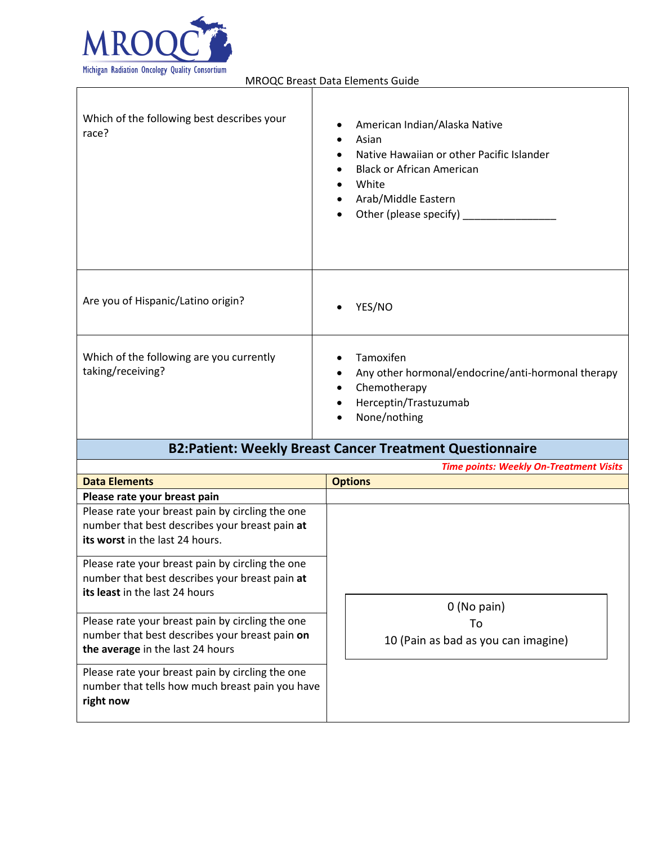

| Which of the following best describes your<br>race?                                                                                                                   | American Indian/Alaska Native<br>Asian<br>$\bullet$<br>Native Hawaiian or other Pacific Islander<br><b>Black or African American</b><br>White<br>Arab/Middle Eastern<br>Other (please specify) |
|-----------------------------------------------------------------------------------------------------------------------------------------------------------------------|------------------------------------------------------------------------------------------------------------------------------------------------------------------------------------------------|
| Are you of Hispanic/Latino origin?                                                                                                                                    | YES/NO                                                                                                                                                                                         |
| Which of the following are you currently<br>taking/receiving?                                                                                                         | Tamoxifen<br>Any other hormonal/endocrine/anti-hormonal therapy<br>Chemotherapy<br>Herceptin/Trastuzumab<br>None/nothing                                                                       |
|                                                                                                                                                                       | <b>B2:Patient: Weekly Breast Cancer Treatment Questionnaire</b>                                                                                                                                |
|                                                                                                                                                                       | <b>Time points: Weekly On-Treatment Visits</b>                                                                                                                                                 |
| <b>Data Elements</b>                                                                                                                                                  | <b>Options</b>                                                                                                                                                                                 |
| Please rate your breast pain<br>Please rate your breast pain by circling the one<br>number that best describes your breast pain at<br>its worst in the last 24 hours. |                                                                                                                                                                                                |
| Please rate your breast pain by circling the one<br>number that best describes your breast pain at<br>its least in the last 24 hours                                  | 0 (No pain)                                                                                                                                                                                    |
| Please rate your breast pain by circling the one<br>number that best describes your breast pain on                                                                    | To<br>10 (Pain as bad as you can imagine)                                                                                                                                                      |

**the average** in the last 24 hours Please rate your breast pain by circling the one number that tells how much breast pain you have

**right now**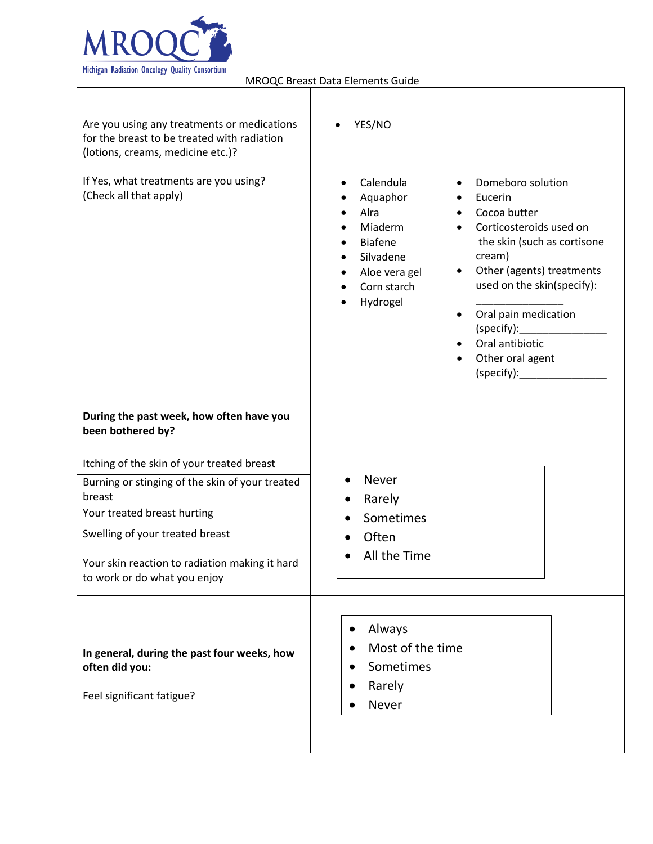

 $\mathsf I$ 

MROQC Breast Data Elements Guide

┑

| Are you using any treatments or medications<br>for the breast to be treated with radiation<br>(lotions, creams, medicine etc.)? | YES/NO                                                                                                                                                                                                                                                                                                                                                                                                     |
|---------------------------------------------------------------------------------------------------------------------------------|------------------------------------------------------------------------------------------------------------------------------------------------------------------------------------------------------------------------------------------------------------------------------------------------------------------------------------------------------------------------------------------------------------|
| If Yes, what treatments are you using?<br>(Check all that apply)                                                                | Calendula<br>Domeboro solution<br>Aquaphor<br>Eucerin<br>Alra<br>Cocoa butter<br>Miaderm<br>Corticosteroids used on<br>the skin (such as cortisone<br><b>Biafene</b><br>cream)<br>Silvadene<br>Other (agents) treatments<br>Aloe vera gel<br>$\bullet$<br>used on the skin(specify):<br>Corn starch<br>Hydrogel<br>Oral pain medication<br>(specify):<br>Oral antibiotic<br>Other oral agent<br>(specify): |
| During the past week, how often have you<br>been bothered by?                                                                   |                                                                                                                                                                                                                                                                                                                                                                                                            |
| Itching of the skin of your treated breast                                                                                      |                                                                                                                                                                                                                                                                                                                                                                                                            |
| Burning or stinging of the skin of your treated<br>breast                                                                       | Never<br>$\bullet$<br>Rarely<br>$\bullet$                                                                                                                                                                                                                                                                                                                                                                  |
| Your treated breast hurting                                                                                                     | Sometimes                                                                                                                                                                                                                                                                                                                                                                                                  |
| Swelling of your treated breast                                                                                                 | Often                                                                                                                                                                                                                                                                                                                                                                                                      |
| Your skin reaction to radiation making it hard<br>to work or do what you enjoy                                                  | All the Time                                                                                                                                                                                                                                                                                                                                                                                               |
| In general, during the past four weeks, how<br>often did you:<br>Feel significant fatigue?                                      | Always<br>$\bullet$<br>Most of the time<br>Sometimes<br>Rarely<br>Never                                                                                                                                                                                                                                                                                                                                    |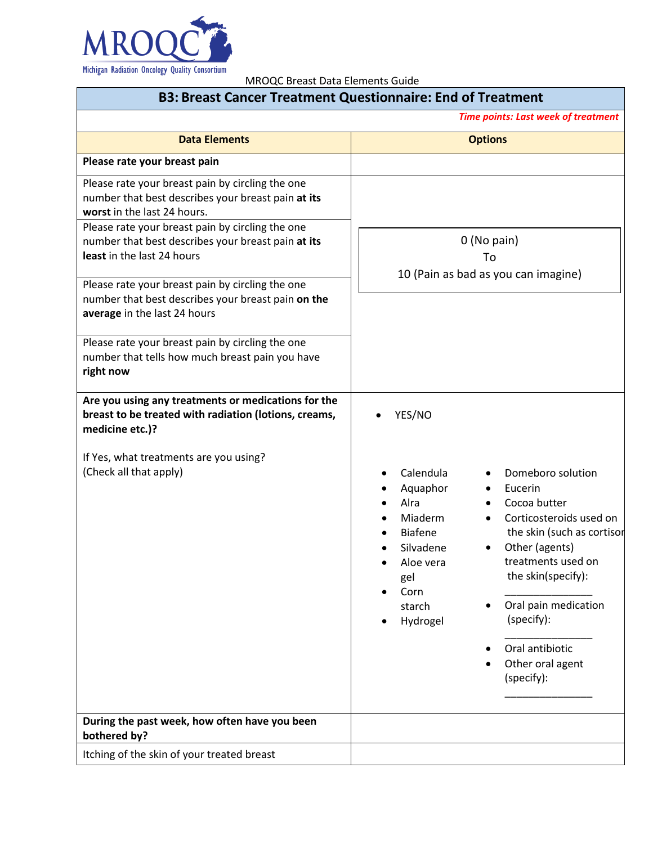

| <b>B3: Breast Cancer Treatment Questionnaire: End of Treatment</b>                                                                                                                                                                                                            |                                                                                                                                                                                                                                                                                                                                                                                                                                    |  |
|-------------------------------------------------------------------------------------------------------------------------------------------------------------------------------------------------------------------------------------------------------------------------------|------------------------------------------------------------------------------------------------------------------------------------------------------------------------------------------------------------------------------------------------------------------------------------------------------------------------------------------------------------------------------------------------------------------------------------|--|
|                                                                                                                                                                                                                                                                               | <b>Time points: Last week of treatment</b>                                                                                                                                                                                                                                                                                                                                                                                         |  |
| <b>Data Elements</b>                                                                                                                                                                                                                                                          | <b>Options</b>                                                                                                                                                                                                                                                                                                                                                                                                                     |  |
| Please rate your breast pain                                                                                                                                                                                                                                                  |                                                                                                                                                                                                                                                                                                                                                                                                                                    |  |
| Please rate your breast pain by circling the one<br>number that best describes your breast pain at its<br>worst in the last 24 hours.<br>Please rate your breast pain by circling the one<br>number that best describes your breast pain at its<br>least in the last 24 hours | 0 (No pain)<br>To<br>10 (Pain as bad as you can imagine)                                                                                                                                                                                                                                                                                                                                                                           |  |
| Please rate your breast pain by circling the one<br>number that best describes your breast pain on the<br>average in the last 24 hours                                                                                                                                        |                                                                                                                                                                                                                                                                                                                                                                                                                                    |  |
| Please rate your breast pain by circling the one<br>number that tells how much breast pain you have<br>right now                                                                                                                                                              |                                                                                                                                                                                                                                                                                                                                                                                                                                    |  |
| Are you using any treatments or medications for the<br>breast to be treated with radiation (lotions, creams,<br>medicine etc.)?                                                                                                                                               | YES/NO                                                                                                                                                                                                                                                                                                                                                                                                                             |  |
| If Yes, what treatments are you using?<br>(Check all that apply)                                                                                                                                                                                                              | Calendula<br>Domeboro solution<br>$\bullet$<br>$\bullet$<br>Eucerin<br>Aquaphor<br>Cocoa butter<br>Alra<br>Miaderm<br>Corticosteroids used on<br>$\bullet$<br>the skin (such as cortisor<br><b>Biafene</b><br>Other (agents)<br>Silvadene<br>treatments used on<br>Aloe vera<br>the skin(specify):<br>gel<br>Corn<br>Oral pain medication<br>starch<br>(specify):<br>Hydrogel<br>Oral antibiotic<br>Other oral agent<br>(specify): |  |
| During the past week, how often have you been<br>bothered by?                                                                                                                                                                                                                 |                                                                                                                                                                                                                                                                                                                                                                                                                                    |  |
| Itching of the skin of your treated breast                                                                                                                                                                                                                                    |                                                                                                                                                                                                                                                                                                                                                                                                                                    |  |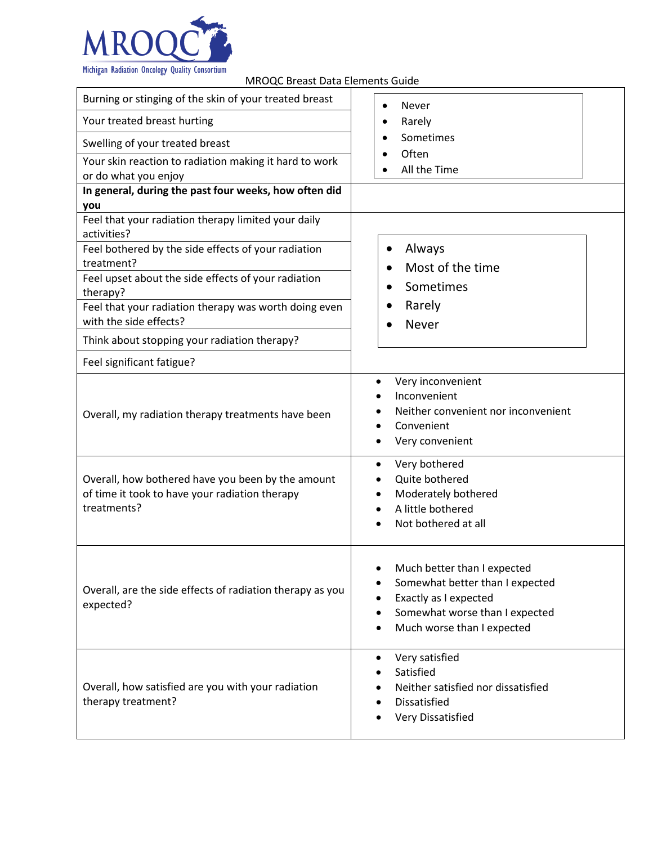

| relieved bilded bata Lichtents of                                                                                  |                                                                                                                                                                                     |
|--------------------------------------------------------------------------------------------------------------------|-------------------------------------------------------------------------------------------------------------------------------------------------------------------------------------|
| Burning or stinging of the skin of your treated breast                                                             | Never<br>$\bullet$                                                                                                                                                                  |
| Your treated breast hurting                                                                                        | Rarely                                                                                                                                                                              |
| Swelling of your treated breast                                                                                    | Sometimes                                                                                                                                                                           |
| Your skin reaction to radiation making it hard to work                                                             | Often                                                                                                                                                                               |
| or do what you enjoy                                                                                               | All the Time                                                                                                                                                                        |
| In general, during the past four weeks, how often did                                                              |                                                                                                                                                                                     |
| you                                                                                                                |                                                                                                                                                                                     |
| Feel that your radiation therapy limited your daily<br>activities?                                                 |                                                                                                                                                                                     |
| Feel bothered by the side effects of your radiation<br>treatment?                                                  | Always<br>$\bullet$                                                                                                                                                                 |
| Feel upset about the side effects of your radiation                                                                | Most of the time                                                                                                                                                                    |
| therapy?                                                                                                           | Sometimes                                                                                                                                                                           |
| Feel that your radiation therapy was worth doing even                                                              | Rarely                                                                                                                                                                              |
| with the side effects?                                                                                             | <b>Never</b>                                                                                                                                                                        |
| Think about stopping your radiation therapy?                                                                       |                                                                                                                                                                                     |
| Feel significant fatigue?                                                                                          |                                                                                                                                                                                     |
| Overall, my radiation therapy treatments have been                                                                 | Very inconvenient<br>٠<br>Inconvenient<br>Neither convenient nor inconvenient<br>Convenient<br>Very convenient                                                                      |
| Overall, how bothered have you been by the amount<br>of time it took to have your radiation therapy<br>treatments? | Very bothered<br>٠<br>Quite bothered<br>Moderately bothered<br>٠<br>A little bothered<br>Not bothered at all                                                                        |
| Overall, are the side effects of radiation therapy as you<br>expected?                                             | Much better than I expected<br>٠<br>Somewhat better than I expected<br>Exactly as I expected<br>٠<br>Somewhat worse than I expected<br>٠<br>Much worse than I expected<br>$\bullet$ |
| Overall, how satisfied are you with your radiation<br>therapy treatment?                                           | Very satisfied<br>$\bullet$<br>Satisfied<br>Neither satisfied nor dissatisfied<br>$\bullet$<br><b>Dissatisfied</b><br><b>Very Dissatisfied</b>                                      |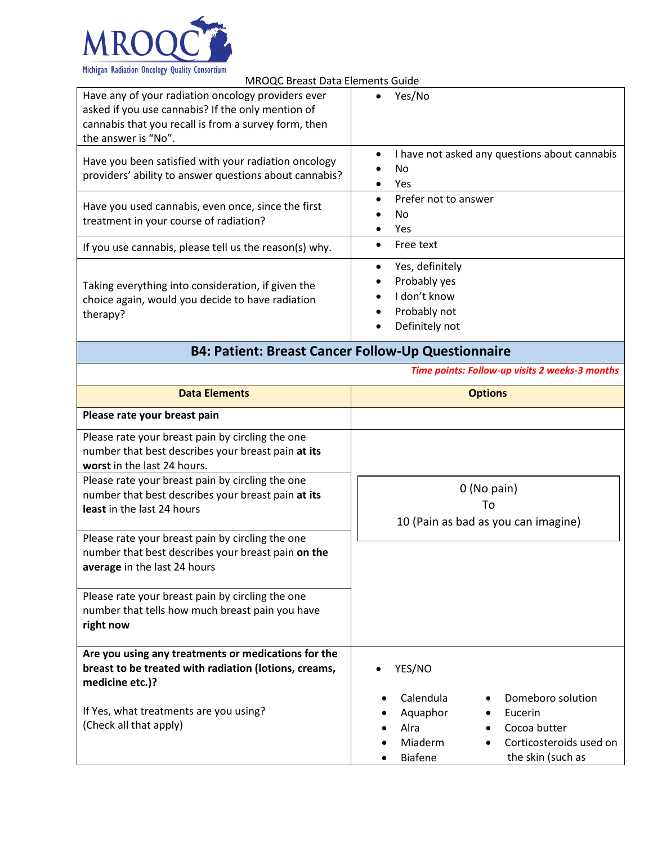

| <b>MROQC Breast Data Elements Guide</b>                                                                                                                                                |                                                                                   |  |
|----------------------------------------------------------------------------------------------------------------------------------------------------------------------------------------|-----------------------------------------------------------------------------------|--|
| Have any of your radiation oncology providers ever<br>asked if you use cannabis? If the only mention of<br>cannabis that you recall is from a survey form, then<br>the answer is "No". | Yes/No                                                                            |  |
| Have you been satisfied with your radiation oncology<br>providers' ability to answer questions about cannabis?                                                                         | I have not asked any questions about cannabis<br>No.<br>Yes                       |  |
| Have you used cannabis, even once, since the first<br>treatment in your course of radiation?                                                                                           | Prefer not to answer<br>No.<br>Yes                                                |  |
| If you use cannabis, please tell us the reason(s) why.                                                                                                                                 | Free text                                                                         |  |
| Taking everything into consideration, if given the<br>choice again, would you decide to have radiation<br>therapy?                                                                     | Yes, definitely<br>Probably yes<br>I don't know<br>Probably not<br>Definitely not |  |

## **B4: Patient: Breast Cancer Follow-Up Questionnaire**

*Time points: Follow-up visits 2 weeks-3 months*

| <b>Data Elements</b>                                                                                                                                                                      | <b>Options</b>                                                                                                                                             |
|-------------------------------------------------------------------------------------------------------------------------------------------------------------------------------------------|------------------------------------------------------------------------------------------------------------------------------------------------------------|
| Please rate your breast pain                                                                                                                                                              |                                                                                                                                                            |
| Please rate your breast pain by circling the one<br>number that best describes your breast pain at its<br>worst in the last 24 hours.<br>Please rate your breast pain by circling the one |                                                                                                                                                            |
| number that best describes your breast pain at its<br>least in the last 24 hours                                                                                                          | $0$ (No pain)<br>To<br>10 (Pain as bad as you can imagine)                                                                                                 |
| Please rate your breast pain by circling the one<br>number that best describes your breast pain on the<br>average in the last 24 hours                                                    |                                                                                                                                                            |
| Please rate your breast pain by circling the one<br>number that tells how much breast pain you have<br>right now                                                                          |                                                                                                                                                            |
| Are you using any treatments or medications for the<br>breast to be treated with radiation (lotions, creams,<br>medicine etc.)?                                                           | YES/NO                                                                                                                                                     |
| If Yes, what treatments are you using?<br>(Check all that apply)                                                                                                                          | Calendula<br>Domeboro solution<br>Aquaphor<br>Eucerin<br>Alra<br>Cocoa butter<br>Miaderm<br>Corticosteroids used on<br>the skin (such as<br><b>Biafene</b> |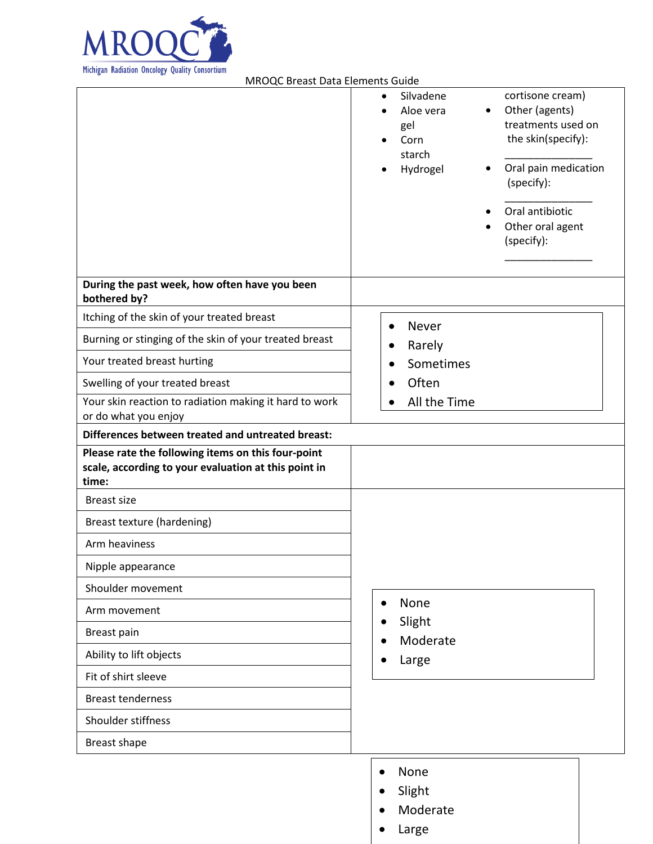

| mengan nagiation oncology guanty consortium<br><b>MROQC Breast Data Elements Guide</b>                              |                                                                                                                                                                                                                                                                                      |
|---------------------------------------------------------------------------------------------------------------------|--------------------------------------------------------------------------------------------------------------------------------------------------------------------------------------------------------------------------------------------------------------------------------------|
|                                                                                                                     | cortisone cream)<br>Silvadene<br>$\bullet$<br>Other (agents)<br>Aloe vera<br>$\bullet$<br>treatments used on<br>gel<br>the skin(specify):<br>Corn<br>$\bullet$<br>starch<br>Oral pain medication<br>Hydrogel<br>٠<br>(specify):<br>Oral antibiotic<br>Other oral agent<br>(specify): |
| During the past week, how often have you been<br>bothered by?                                                       |                                                                                                                                                                                                                                                                                      |
| Itching of the skin of your treated breast                                                                          | Never<br>$\bullet$                                                                                                                                                                                                                                                                   |
| Burning or stinging of the skin of your treated breast                                                              | Rarely<br>$\bullet$                                                                                                                                                                                                                                                                  |
| Your treated breast hurting                                                                                         | Sometimes<br>$\bullet$                                                                                                                                                                                                                                                               |
| Swelling of your treated breast                                                                                     | Often<br>$\bullet$                                                                                                                                                                                                                                                                   |
| Your skin reaction to radiation making it hard to work<br>or do what you enjoy                                      | All the Time                                                                                                                                                                                                                                                                         |
| Differences between treated and untreated breast:                                                                   |                                                                                                                                                                                                                                                                                      |
| Please rate the following items on this four-point<br>scale, according to your evaluation at this point in<br>time: |                                                                                                                                                                                                                                                                                      |
| <b>Breast size</b>                                                                                                  |                                                                                                                                                                                                                                                                                      |
| Breast texture (hardening)                                                                                          |                                                                                                                                                                                                                                                                                      |
| Arm heaviness                                                                                                       |                                                                                                                                                                                                                                                                                      |
| Nipple appearance                                                                                                   |                                                                                                                                                                                                                                                                                      |
| Shoulder movement                                                                                                   |                                                                                                                                                                                                                                                                                      |
| Arm movement                                                                                                        | None<br>$\bullet$<br>Slight                                                                                                                                                                                                                                                          |
| <b>Breast pain</b>                                                                                                  | Moderate                                                                                                                                                                                                                                                                             |
| Ability to lift objects                                                                                             | Large                                                                                                                                                                                                                                                                                |
| Fit of shirt sleeve                                                                                                 |                                                                                                                                                                                                                                                                                      |
| <b>Breast tenderness</b>                                                                                            |                                                                                                                                                                                                                                                                                      |
| Shoulder stiffness                                                                                                  |                                                                                                                                                                                                                                                                                      |
| <b>Breast shape</b>                                                                                                 |                                                                                                                                                                                                                                                                                      |
|                                                                                                                     | None                                                                                                                                                                                                                                                                                 |
|                                                                                                                     | Slight                                                                                                                                                                                                                                                                               |

• Moderate

• Large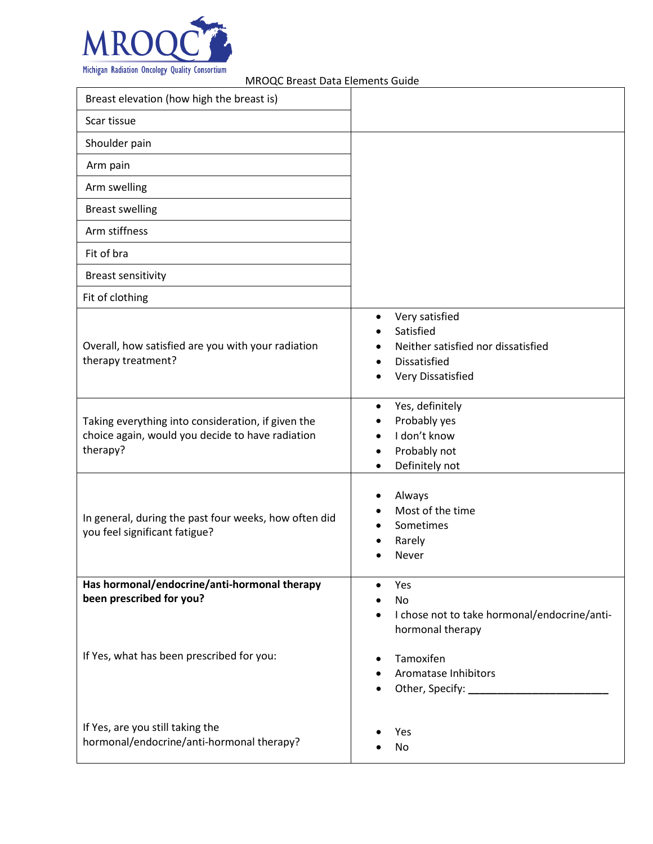

| MROQC Breast Data Elements Guide                                                                                   |                                                                                                                          |
|--------------------------------------------------------------------------------------------------------------------|--------------------------------------------------------------------------------------------------------------------------|
| Breast elevation (how high the breast is)                                                                          |                                                                                                                          |
| Scar tissue                                                                                                        |                                                                                                                          |
| Shoulder pain                                                                                                      |                                                                                                                          |
| Arm pain                                                                                                           |                                                                                                                          |
| Arm swelling                                                                                                       |                                                                                                                          |
| <b>Breast swelling</b>                                                                                             |                                                                                                                          |
| Arm stiffness                                                                                                      |                                                                                                                          |
| Fit of bra                                                                                                         |                                                                                                                          |
| <b>Breast sensitivity</b>                                                                                          |                                                                                                                          |
| Fit of clothing                                                                                                    |                                                                                                                          |
| Overall, how satisfied are you with your radiation<br>therapy treatment?                                           | Very satisfied<br>٠<br>Satisfied<br>Neither satisfied nor dissatisfied<br><b>Dissatisfied</b><br>Very Dissatisfied       |
| Taking everything into consideration, if given the<br>choice again, would you decide to have radiation<br>therapy? | Yes, definitely<br>٠<br>Probably yes<br>I don't know<br>$\bullet$<br>Probably not<br>$\bullet$<br>Definitely not         |
| In general, during the past four weeks, how often did<br>you feel significant fatigue?                             | Always<br>Most of the time<br>Sometimes<br>Rarely<br>Never                                                               |
| Has hormonal/endocrine/anti-hormonal therapy                                                                       | Yes<br>$\bullet$                                                                                                         |
| been prescribed for you?<br>If Yes, what has been prescribed for you:                                              | No<br>I chose not to take hormonal/endocrine/anti-<br>$\bullet$<br>hormonal therapy<br>Tamoxifen<br>Aromatase Inhibitors |
| If Yes, are you still taking the<br>hormonal/endocrine/anti-hormonal therapy?                                      | Other, Specify: ___________________<br>Yes<br>No                                                                         |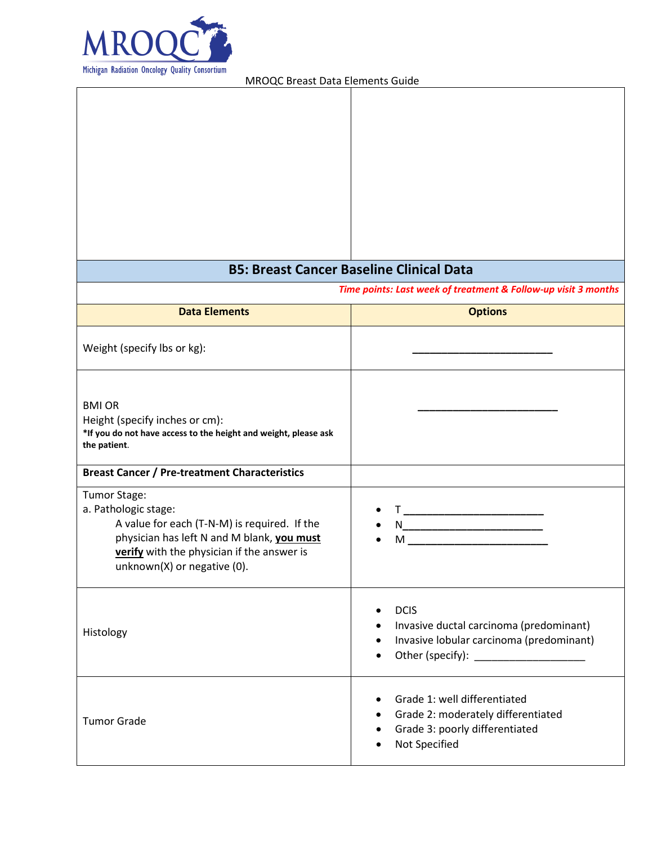

|                                                                                                                                                                                                                 | <b>B5: Breast Cancer Baseline Clinical Data</b>                                                                                                                                                                                                                                                                                                                            |
|-----------------------------------------------------------------------------------------------------------------------------------------------------------------------------------------------------------------|----------------------------------------------------------------------------------------------------------------------------------------------------------------------------------------------------------------------------------------------------------------------------------------------------------------------------------------------------------------------------|
|                                                                                                                                                                                                                 | Time points: Last week of treatment & Follow-up visit 3 months                                                                                                                                                                                                                                                                                                             |
| <b>Data Elements</b>                                                                                                                                                                                            | <b>Options</b>                                                                                                                                                                                                                                                                                                                                                             |
| Weight (specify lbs or kg):                                                                                                                                                                                     |                                                                                                                                                                                                                                                                                                                                                                            |
| <b>BMI OR</b><br>Height (specify inches or cm):<br>*If you do not have access to the height and weight, please ask<br>the patient.                                                                              |                                                                                                                                                                                                                                                                                                                                                                            |
| <b>Breast Cancer / Pre-treatment Characteristics</b>                                                                                                                                                            |                                                                                                                                                                                                                                                                                                                                                                            |
| Tumor Stage:<br>a. Pathologic stage:<br>A value for each (T-N-M) is required. If the<br>physician has left N and M blank, you must<br>verify with the physician if the answer is<br>unknown(X) or negative (0). | $M_{\rm H}$ and $M_{\rm H}$ and $M_{\rm H}$ and $M_{\rm H}$                                                                                                                                                                                                                                                                                                                |
| Histology                                                                                                                                                                                                       | <b>DCIS</b><br>$\bullet$<br>Invasive ductal carcinoma (predominant)<br>Invasive lobular carcinoma (predominant)<br>$\bullet$<br>Other (specify): Notice of the state of the state of the state of the state of the state of the state of the state of the state of the state of the state of the state of the state of the state of the state of the state of<br>$\bullet$ |
| <b>Tumor Grade</b>                                                                                                                                                                                              | Grade 1: well differentiated<br>Grade 2: moderately differentiated<br>٠<br>Grade 3: poorly differentiated<br>Not Specified                                                                                                                                                                                                                                                 |

 $\overline{\phantom{a}}$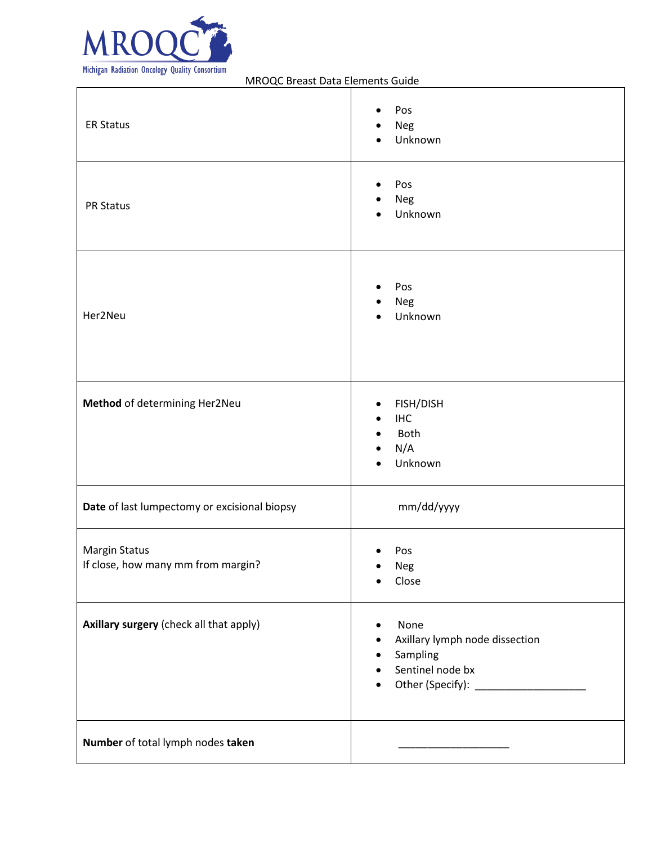

| <b>ER Status</b>                                           | Pos<br>Neg<br>Unknown<br>$\bullet$                                                                                 |
|------------------------------------------------------------|--------------------------------------------------------------------------------------------------------------------|
| <b>PR Status</b>                                           | Pos<br>٠<br>Neg<br>Unknown                                                                                         |
| Her2Neu                                                    | Pos<br>$\bullet$<br>Neg<br>Unknown                                                                                 |
| Method of determining Her2Neu                              | FISH/DISH<br>٠<br><b>IHC</b><br>Both<br>$\bullet$<br>N/A<br>Unknown                                                |
| Date of last lumpectomy or excisional biopsy               | mm/dd/yyyy                                                                                                         |
| <b>Margin Status</b><br>If close, how many mm from margin? | Pos<br>$\bullet$<br>Neg<br>Close                                                                                   |
| Axillary surgery (check all that apply)                    | None<br>Axillary lymph node dissection<br>٠<br>Sampling<br>$\bullet$<br>Sentinel node bx<br>$\bullet$<br>$\bullet$ |
| Number of total lymph nodes taken                          |                                                                                                                    |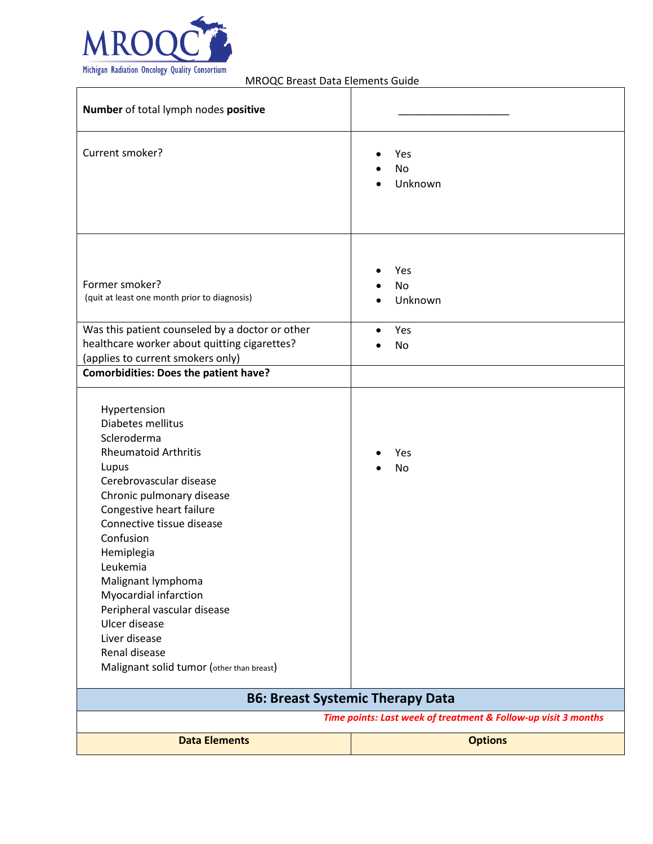

| Number of total lymph nodes positive                                                                                                                                                                                                                                                                                                                                                                                           |                                                                |
|--------------------------------------------------------------------------------------------------------------------------------------------------------------------------------------------------------------------------------------------------------------------------------------------------------------------------------------------------------------------------------------------------------------------------------|----------------------------------------------------------------|
| Current smoker?                                                                                                                                                                                                                                                                                                                                                                                                                | Yes<br><b>No</b><br>Unknown                                    |
| Former smoker?<br>(quit at least one month prior to diagnosis)                                                                                                                                                                                                                                                                                                                                                                 | Yes<br><b>No</b><br>Unknown                                    |
| Was this patient counseled by a doctor or other                                                                                                                                                                                                                                                                                                                                                                                | Yes                                                            |
| healthcare worker about quitting cigarettes?<br>(applies to current smokers only)                                                                                                                                                                                                                                                                                                                                              | No                                                             |
| <b>Comorbidities: Does the patient have?</b>                                                                                                                                                                                                                                                                                                                                                                                   |                                                                |
| Hypertension<br>Diabetes mellitus<br>Scleroderma<br><b>Rheumatoid Arthritis</b><br>Lupus<br>Cerebrovascular disease<br>Chronic pulmonary disease<br>Congestive heart failure<br>Connective tissue disease<br>Confusion<br>Hemiplegia<br>Leukemia<br>Malignant lymphoma<br>Myocardial infarction<br>Peripheral vascular disease<br>Ulcer disease<br>Liver disease<br>Renal disease<br>Malignant solid tumor (other than breast) | Yes<br>No                                                      |
|                                                                                                                                                                                                                                                                                                                                                                                                                                | <b>B6: Breast Systemic Therapy Data</b>                        |
|                                                                                                                                                                                                                                                                                                                                                                                                                                | Time points: Last week of treatment & Follow-up visit 3 months |
| <b>Data Elements</b>                                                                                                                                                                                                                                                                                                                                                                                                           | <b>Options</b>                                                 |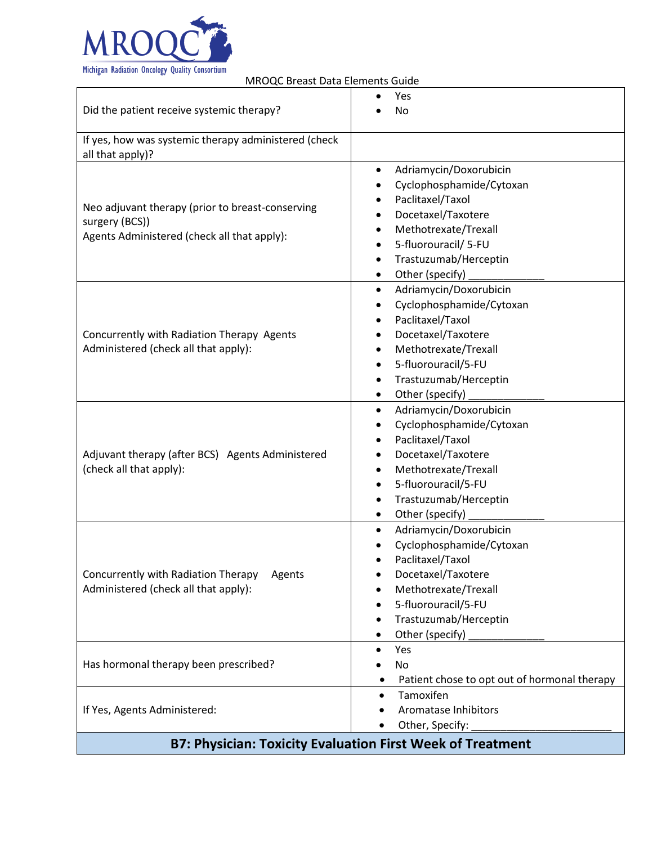

| ויוויסעכ טוכנוס טמננו בוכוווכוונו שמומכ                                                                           |                                                                                                                                                                                                                                                          |  |  |
|-------------------------------------------------------------------------------------------------------------------|----------------------------------------------------------------------------------------------------------------------------------------------------------------------------------------------------------------------------------------------------------|--|--|
| Did the patient receive systemic therapy?                                                                         | Yes<br>No                                                                                                                                                                                                                                                |  |  |
| If yes, how was systemic therapy administered (check<br>all that apply)?                                          |                                                                                                                                                                                                                                                          |  |  |
| Neo adjuvant therapy (prior to breast-conserving<br>surgery (BCS))<br>Agents Administered (check all that apply): | Adriamycin/Doxorubicin<br>Cyclophosphamide/Cytoxan<br>$\bullet$<br>Paclitaxel/Taxol<br>Docetaxel/Taxotere<br>$\bullet$<br>Methotrexate/Trexall<br>5-fluorouracil/ 5-FU<br>Trastuzumab/Herceptin<br>$\bullet$<br>Other (specify)<br>$\bullet$             |  |  |
| Concurrently with Radiation Therapy Agents<br>Administered (check all that apply):                                | Adriamycin/Doxorubicin<br>$\bullet$<br>Cyclophosphamide/Cytoxan<br>$\bullet$<br>Paclitaxel/Taxol<br>Docetaxel/Taxotere<br>Methotrexate/Trexall<br>$\bullet$<br>5-fluorouracil/5-FU<br>Trastuzumab/Herceptin<br>$\bullet$<br>Other (specify)<br>$\bullet$ |  |  |
| Adjuvant therapy (after BCS) Agents Administered<br>(check all that apply):                                       | Adriamycin/Doxorubicin<br>$\bullet$<br>Cyclophosphamide/Cytoxan<br>$\bullet$<br>Paclitaxel/Taxol<br>$\bullet$<br>Docetaxel/Taxotere<br>Methotrexate/Trexall<br>$\bullet$<br>5-fluorouracil/5-FU<br>Trastuzumab/Herceptin<br>Other (specify)<br>$\bullet$ |  |  |
| Concurrently with Radiation Therapy<br>Agents<br>Administered (check all that apply):                             | Adriamycin/Doxorubicin<br>$\bullet$<br>Cyclophosphamide/Cytoxan<br>Paclitaxel/Taxol<br>Docetaxel/Taxotere<br>Methotrexate/Trexall<br>5-fluorouracil/5-FU<br>Trastuzumab/Herceptin<br>Other (specify)                                                     |  |  |
| Has hormonal therapy been prescribed?                                                                             | Yes<br>No<br>Patient chose to opt out of hormonal therapy                                                                                                                                                                                                |  |  |
| If Yes, Agents Administered:                                                                                      | Tamoxifen<br>$\bullet$<br>Aromatase Inhibitors<br>Other, Specify:                                                                                                                                                                                        |  |  |
| <b>B7: Physician: Toxicity Evaluation First Week of Treatment</b>                                                 |                                                                                                                                                                                                                                                          |  |  |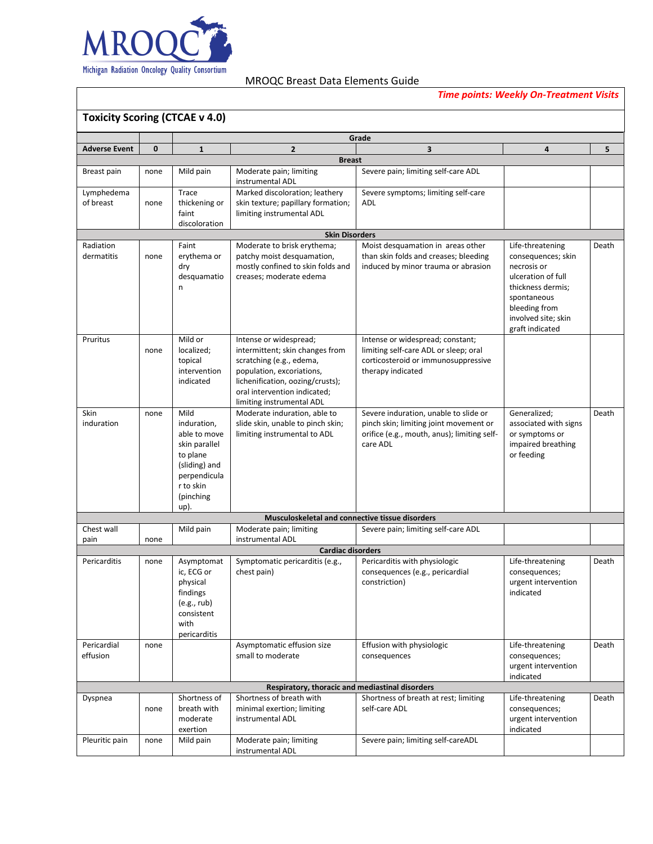

*Time points: Weekly On-Treatment Visits*

| <b>Toxicity Scoring (CTCAE v 4.0)</b> |              |                           |                                                                            |                                                  |                                        |       |
|---------------------------------------|--------------|---------------------------|----------------------------------------------------------------------------|--------------------------------------------------|----------------------------------------|-------|
|                                       |              |                           |                                                                            | Grade                                            |                                        |       |
| <b>Adverse Event</b>                  | $\mathbf{0}$ | $\mathbf{1}$              | $\overline{2}$                                                             | $\overline{\mathbf{3}}$                          | $\overline{4}$                         | 5     |
|                                       |              |                           | <b>Breast</b>                                                              |                                                  |                                        |       |
| Breast pain                           | none         | Mild pain                 | Moderate pain; limiting<br>instrumental ADL                                | Severe pain; limiting self-care ADL              |                                        |       |
| Lymphedema                            |              | Trace                     | Marked discoloration; leathery                                             | Severe symptoms; limiting self-care              |                                        |       |
| of breast                             | none         | thickening or             | skin texture; papillary formation;                                         | <b>ADL</b>                                       |                                        |       |
|                                       |              | faint                     | limiting instrumental ADL                                                  |                                                  |                                        |       |
|                                       |              | discoloration             | <b>Skin Disorders</b>                                                      |                                                  |                                        |       |
| Radiation                             |              | Faint                     | Moderate to brisk erythema;                                                | Moist desquamation in areas other                | Life-threatening                       | Death |
| dermatitis                            | none         | erythema or               | patchy moist desquamation,                                                 | than skin folds and creases; bleeding            | consequences; skin                     |       |
|                                       |              | dry                       | mostly confined to skin folds and                                          | induced by minor trauma or abrasion              | necrosis or                            |       |
|                                       |              | desquamatio               | creases; moderate edema                                                    |                                                  | ulceration of full                     |       |
|                                       |              | n                         |                                                                            |                                                  | thickness dermis;                      |       |
|                                       |              |                           |                                                                            |                                                  | spontaneous                            |       |
|                                       |              |                           |                                                                            |                                                  | bleeding from                          |       |
|                                       |              |                           |                                                                            |                                                  | involved site; skin<br>graft indicated |       |
| Pruritus                              |              | Mild or                   | Intense or widespread;                                                     | Intense or widespread; constant;                 |                                        |       |
|                                       | none         | localized;                | intermittent; skin changes from                                            | limiting self-care ADL or sleep; oral            |                                        |       |
|                                       |              | topical                   | scratching (e.g., edema,                                                   | corticosteroid or immunosuppressive              |                                        |       |
|                                       |              | intervention              | population, excoriations,                                                  | therapy indicated                                |                                        |       |
|                                       |              | indicated                 | lichenification, oozing/crusts);<br>oral intervention indicated;           |                                                  |                                        |       |
|                                       |              |                           | limiting instrumental ADL                                                  |                                                  |                                        |       |
| Skin                                  | none         | Mild                      | Moderate induration, able to                                               | Severe induration, unable to slide or            | Generalized;                           | Death |
| induration                            |              | induration,               | slide skin, unable to pinch skin;                                          | pinch skin; limiting joint movement or           | associated with signs                  |       |
|                                       |              | able to move              | limiting instrumental to ADL                                               | orifice (e.g., mouth, anus); limiting self-      | or symptoms or                         |       |
|                                       |              | skin parallel             |                                                                            | care ADL                                         | impaired breathing                     |       |
|                                       |              | to plane<br>(sliding) and |                                                                            |                                                  | or feeding                             |       |
|                                       |              | perpendicula              |                                                                            |                                                  |                                        |       |
|                                       |              | r to skin                 |                                                                            |                                                  |                                        |       |
|                                       |              | (pinching                 |                                                                            |                                                  |                                        |       |
| up).                                  |              |                           |                                                                            |                                                  |                                        |       |
| Chest wall                            |              | Mild pain                 | Musculoskeletal and connective tissue disorders<br>Moderate pain; limiting | Severe pain; limiting self-care ADL              |                                        |       |
| pain                                  | none         |                           | instrumental ADL                                                           |                                                  |                                        |       |
|                                       |              |                           | <b>Cardiac disorders</b>                                                   |                                                  |                                        |       |
| Pericarditis                          | none         | Asymptomat                | Symptomatic pericarditis (e.g.,                                            | Pericarditis with physiologic                    | Life-threatening                       | Death |
|                                       |              | ic, ECG or<br>physical    | chest pain)                                                                | consequences (e.g., pericardial<br>constriction) | consequences;<br>urgent intervention   |       |
|                                       |              | findings                  |                                                                            |                                                  | indicated                              |       |
|                                       |              | (e.g., rub)               |                                                                            |                                                  |                                        |       |
|                                       |              | consistent                |                                                                            |                                                  |                                        |       |
|                                       |              | with                      |                                                                            |                                                  |                                        |       |
|                                       |              | pericarditis              |                                                                            |                                                  |                                        |       |
| Pericardial<br>effusion               | none         |                           | Asymptomatic effusion size<br>small to moderate                            | Effusion with physiologic<br>consequences        | Life-threatening                       | Death |
|                                       |              |                           |                                                                            |                                                  | consequences;<br>urgent intervention   |       |
|                                       |              |                           |                                                                            |                                                  | indicated                              |       |
|                                       |              |                           | Respiratory, thoracic and mediastinal disorders                            |                                                  |                                        |       |
| Dyspnea                               |              | Shortness of              | Shortness of breath with                                                   | Shortness of breath at rest; limiting            | Life-threatening                       | Death |
|                                       | none         | breath with               | minimal exertion; limiting                                                 | self-care ADL                                    | consequences;                          |       |
|                                       |              | moderate<br>exertion      | instrumental ADL                                                           |                                                  | urgent intervention<br>indicated       |       |
| Pleuritic pain                        | none         | Mild pain                 | Moderate pain; limiting                                                    | Severe pain; limiting self-careADL               |                                        |       |
|                                       |              |                           | instrumental ADL                                                           |                                                  |                                        |       |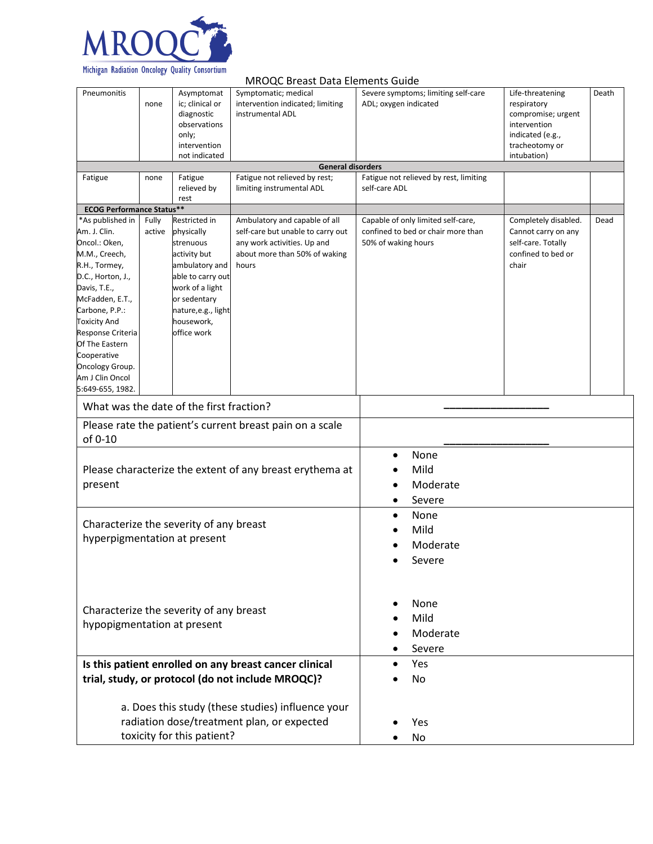

|                                                                                                                                                                                                                                                                                                      |                 |                                                                                                                                                                                       | <b>MROQC Breast Data Elements Guide</b>                                                                                                     |                                    |                                                                          |                                                                                                                            |       |
|------------------------------------------------------------------------------------------------------------------------------------------------------------------------------------------------------------------------------------------------------------------------------------------------------|-----------------|---------------------------------------------------------------------------------------------------------------------------------------------------------------------------------------|---------------------------------------------------------------------------------------------------------------------------------------------|------------------------------------|--------------------------------------------------------------------------|----------------------------------------------------------------------------------------------------------------------------|-------|
| Pneumonitis                                                                                                                                                                                                                                                                                          | none            | Asymptomat<br>ic; clinical or<br>diagnostic<br>observations<br>only;<br>intervention<br>not indicated                                                                                 | Symptomatic; medical<br>intervention indicated; limiting<br>instrumental ADL                                                                | ADL; oxygen indicated              | Severe symptoms; limiting self-care                                      | Life-threatening<br>respiratory<br>compromise; urgent<br>intervention<br>indicated (e.g.,<br>tracheotomy or<br>intubation) | Death |
|                                                                                                                                                                                                                                                                                                      |                 |                                                                                                                                                                                       | <b>General disorders</b>                                                                                                                    |                                    |                                                                          |                                                                                                                            |       |
| Fatigue                                                                                                                                                                                                                                                                                              | none            | Fatigue<br>relieved by<br>rest                                                                                                                                                        | Fatigue not relieved by rest;<br>limiting instrumental ADL                                                                                  | self-care ADL                      | Fatigue not relieved by rest, limiting                                   |                                                                                                                            |       |
| <b>ECOG Performance Status**</b>                                                                                                                                                                                                                                                                     |                 |                                                                                                                                                                                       |                                                                                                                                             |                                    |                                                                          |                                                                                                                            |       |
| *As published in<br>Am. J. Clin.<br>Oncol.: Oken,<br>M.M., Creech,<br>R.H., Tormey,<br>D.C., Horton, J.,<br>Davis, T.E.,<br>McFadden, E.T.,<br>Carbone, P.P.:<br><b>Toxicity And</b><br>Response Criteria<br>Of The Eastern<br>Cooperative<br>Oncology Group.<br>Am J Clin Oncol<br>5:649-655, 1982. | Fully<br>active | Restricted in<br>physically<br>strenuous<br>activity but<br>ambulatory and<br>able to carry out<br>work of a light<br>or sedentary<br>nature,e.g., light<br>housework,<br>office work | Ambulatory and capable of all<br>self-care but unable to carry out<br>any work activities. Up and<br>about more than 50% of waking<br>hours | 50% of waking hours                | Capable of only limited self-care,<br>confined to bed or chair more than | Completely disabled.<br>Cannot carry on any<br>self-care. Totally<br>confined to bed or<br>chair                           | Dead  |
| What was the date of the first fraction?                                                                                                                                                                                                                                                             |                 |                                                                                                                                                                                       |                                                                                                                                             |                                    |                                                                          |                                                                                                                            |       |
| Please rate the patient's current breast pain on a scale<br>of 0-10                                                                                                                                                                                                                                  |                 |                                                                                                                                                                                       |                                                                                                                                             |                                    |                                                                          |                                                                                                                            |       |
| Please characterize the extent of any breast erythema at<br>present                                                                                                                                                                                                                                  |                 |                                                                                                                                                                                       | $\bullet$<br>$\bullet$                                                                                                                      | None<br>Mild<br>Moderate<br>Severe |                                                                          |                                                                                                                            |       |
| Characterize the severity of any breast<br>hyperpigmentation at present                                                                                                                                                                                                                              |                 |                                                                                                                                                                                       | $\bullet$<br>$\bullet$                                                                                                                      | None<br>Mild<br>Moderate<br>Severe |                                                                          |                                                                                                                            |       |
| Characterize the severity of any breast<br>hypopigmentation at present                                                                                                                                                                                                                               |                 |                                                                                                                                                                                       | ٠                                                                                                                                           | None<br>Mild<br>Moderate<br>Severe |                                                                          |                                                                                                                            |       |
|                                                                                                                                                                                                                                                                                                      |                 |                                                                                                                                                                                       | Is this patient enrolled on any breast cancer clinical<br>trial, study, or protocol (do not include MROQC)?                                 |                                    | Yes<br>No                                                                |                                                                                                                            |       |
| a. Does this study (these studies) influence your<br>radiation dose/treatment plan, or expected<br>toxicity for this patient?                                                                                                                                                                        |                 |                                                                                                                                                                                       |                                                                                                                                             | Yes<br>No                          |                                                                          |                                                                                                                            |       |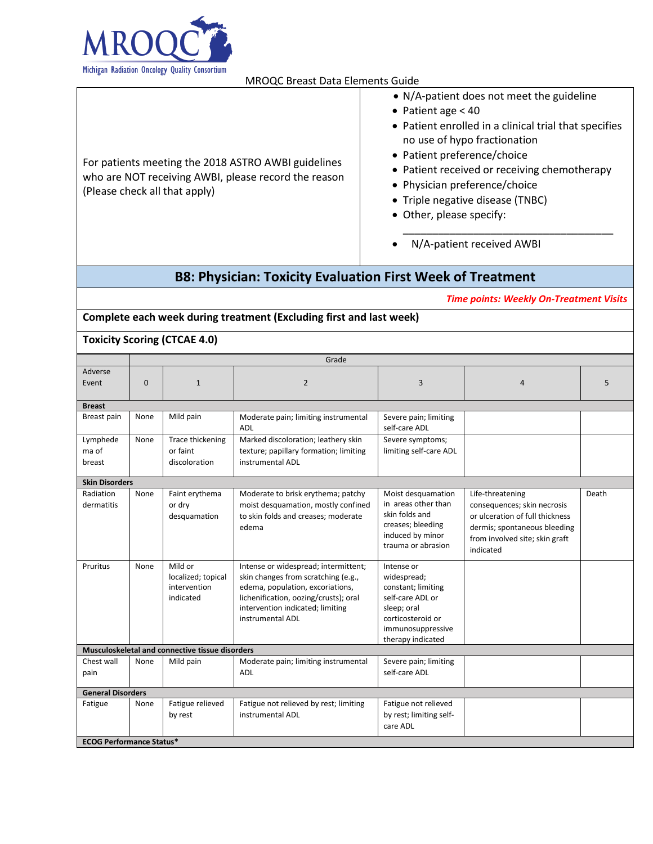

|                                                                                                                                              | • N/A-patient does not meet the guideline                                                                                                                                                                                                                             |  |  |
|----------------------------------------------------------------------------------------------------------------------------------------------|-----------------------------------------------------------------------------------------------------------------------------------------------------------------------------------------------------------------------------------------------------------------------|--|--|
|                                                                                                                                              | • Patient age $<$ 40                                                                                                                                                                                                                                                  |  |  |
| For patients meeting the 2018 ASTRO AWBI guidelines<br>who are NOT receiving AWBI, please record the reason<br>(Please check all that apply) | • Patient enrolled in a clinical trial that specifies<br>no use of hypo fractionation<br>• Patient preference/choice<br>• Patient received or receiving chemotherapy<br>• Physician preference/choice<br>• Triple negative disease (TNBC)<br>• Other, please specify: |  |  |
|                                                                                                                                              |                                                                                                                                                                                                                                                                       |  |  |

• N/A-patient received AWBI

## **B8: Physician: Toxicity Evaluation First Week of Treatment**

*Time points: Weekly On-Treatment Visits*

**Complete each week during treatment (Excluding first and last week)** 

### **Toxicity Scoring (CTCAE 4.0)**

|                                 | Grade    |                                                            |                                                                                                                                                                                                                  |                                                                                                                                                   |                                                                                                                                                                   |       |
|---------------------------------|----------|------------------------------------------------------------|------------------------------------------------------------------------------------------------------------------------------------------------------------------------------------------------------------------|---------------------------------------------------------------------------------------------------------------------------------------------------|-------------------------------------------------------------------------------------------------------------------------------------------------------------------|-------|
| Adverse<br>Event                | $\Omega$ | $\mathbf{1}$                                               | $\overline{2}$                                                                                                                                                                                                   | 3                                                                                                                                                 | $\overline{4}$                                                                                                                                                    | 5     |
| <b>Breast</b>                   |          |                                                            |                                                                                                                                                                                                                  |                                                                                                                                                   |                                                                                                                                                                   |       |
| Breast pain                     | None     | Mild pain                                                  | Moderate pain; limiting instrumental<br><b>ADL</b>                                                                                                                                                               | Severe pain; limiting<br>self-care ADL                                                                                                            |                                                                                                                                                                   |       |
| Lymphede<br>ma of<br>breast     | None     | Trace thickening<br>or faint<br>discoloration              | Marked discoloration; leathery skin<br>texture; papillary formation; limiting<br>instrumental ADL                                                                                                                | Severe symptoms;<br>limiting self-care ADL                                                                                                        |                                                                                                                                                                   |       |
| <b>Skin Disorders</b>           |          |                                                            |                                                                                                                                                                                                                  |                                                                                                                                                   |                                                                                                                                                                   |       |
| Radiation<br>dermatitis         | None     | Faint erythema<br>or dry<br>desquamation                   | Moderate to brisk erythema; patchy<br>moist desquamation, mostly confined<br>to skin folds and creases; moderate<br>edema                                                                                        | Moist desquamation<br>in areas other than<br>skin folds and<br>creases; bleeding<br>induced by minor<br>trauma or abrasion                        | Life-threatening<br>consequences; skin necrosis<br>or ulceration of full thickness<br>dermis; spontaneous bleeding<br>from involved site; skin graft<br>indicated | Death |
| Pruritus                        | None     | Mild or<br>localized; topical<br>intervention<br>indicated | Intense or widespread; intermittent;<br>skin changes from scratching (e.g.,<br>edema, population, excoriations,<br>lichenification, oozing/crusts); oral<br>intervention indicated; limiting<br>instrumental ADL | Intense or<br>widespread;<br>constant; limiting<br>self-care ADL or<br>sleep: oral<br>corticosteroid or<br>immunosuppressive<br>therapy indicated |                                                                                                                                                                   |       |
|                                 |          | Musculoskeletal and connective tissue disorders            |                                                                                                                                                                                                                  |                                                                                                                                                   |                                                                                                                                                                   |       |
| Chest wall<br>pain              | None     | Mild pain                                                  | Moderate pain; limiting instrumental<br><b>ADL</b>                                                                                                                                                               | Severe pain; limiting<br>self-care ADL                                                                                                            |                                                                                                                                                                   |       |
| <b>General Disorders</b>        |          |                                                            |                                                                                                                                                                                                                  |                                                                                                                                                   |                                                                                                                                                                   |       |
| Fatigue                         | None     | Fatigue relieved<br>by rest                                | Fatigue not relieved by rest; limiting<br>instrumental ADL                                                                                                                                                       | Fatigue not relieved<br>by rest; limiting self-<br>care ADL                                                                                       |                                                                                                                                                                   |       |
| <b>ECOG Performance Status*</b> |          |                                                            |                                                                                                                                                                                                                  |                                                                                                                                                   |                                                                                                                                                                   |       |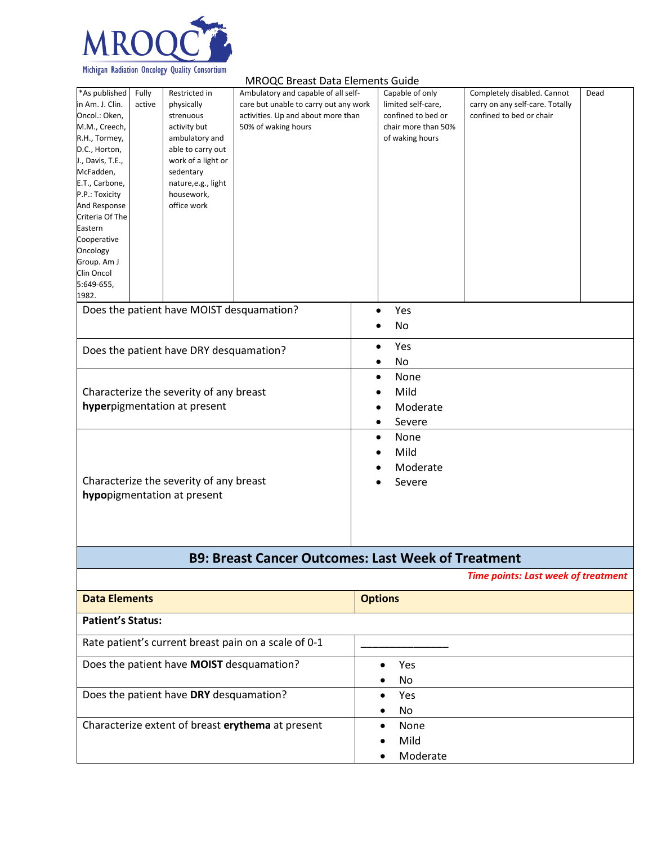

|                                                                                                                                                                                                                                                                                                        |                 |                                                                                                                                                                                        | <b>MROQC Breast Data Elements Guide</b>                                                                                                   |                                                                                                       |                                                                                            |      |
|--------------------------------------------------------------------------------------------------------------------------------------------------------------------------------------------------------------------------------------------------------------------------------------------------------|-----------------|----------------------------------------------------------------------------------------------------------------------------------------------------------------------------------------|-------------------------------------------------------------------------------------------------------------------------------------------|-------------------------------------------------------------------------------------------------------|--------------------------------------------------------------------------------------------|------|
| *As published<br>in Am. J. Clin.<br>Oncol.: Oken,<br>M.M., Creech,<br>R.H., Tormey,<br>D.C., Horton,<br>J., Davis, T.E.,<br>McFadden,<br>E.T., Carbone,<br>P.P.: Toxicity<br>And Response<br>Criteria Of The<br>Eastern<br>Cooperative<br>Oncology<br>Group. Am J<br>Clin Oncol<br>5:649-655,<br>1982. | Fully<br>active | Restricted in<br>physically<br>strenuous<br>activity but<br>ambulatory and<br>able to carry out<br>work of a light or<br>sedentary<br>nature, e.g., light<br>housework,<br>office work | Ambulatory and capable of all self-<br>care but unable to carry out any work<br>activities. Up and about more than<br>50% of waking hours | Capable of only<br>limited self-care,<br>confined to bed or<br>chair more than 50%<br>of waking hours | Completely disabled. Cannot<br>carry on any self-care. Totally<br>confined to bed or chair | Dead |
|                                                                                                                                                                                                                                                                                                        |                 | Does the patient have MOIST desquamation?                                                                                                                                              |                                                                                                                                           | Yes<br>$\bullet$<br>No                                                                                |                                                                                            |      |
| Does the patient have DRY desquamation?                                                                                                                                                                                                                                                                |                 |                                                                                                                                                                                        | Yes<br>$\bullet$<br>No<br>٠                                                                                                               |                                                                                                       |                                                                                            |      |
| Characterize the severity of any breast<br>hyperpigmentation at present                                                                                                                                                                                                                                |                 | None<br>$\bullet$<br>Mild<br>Moderate<br>Severe<br>٠                                                                                                                                   |                                                                                                                                           |                                                                                                       |                                                                                            |      |
|                                                                                                                                                                                                                                                                                                        |                 | Characterize the severity of any breast<br>hypopigmentation at present                                                                                                                 |                                                                                                                                           | None<br>$\bullet$<br>Mild<br>Moderate<br>Severe                                                       |                                                                                            |      |
|                                                                                                                                                                                                                                                                                                        |                 |                                                                                                                                                                                        | <b>B9: Breast Cancer Outcomes: Last Week of Treatment</b>                                                                                 |                                                                                                       |                                                                                            |      |
|                                                                                                                                                                                                                                                                                                        |                 |                                                                                                                                                                                        |                                                                                                                                           |                                                                                                       | <b>Time points: Last week of treatment</b>                                                 |      |
| <b>Data Elements</b>                                                                                                                                                                                                                                                                                   |                 |                                                                                                                                                                                        |                                                                                                                                           | <b>Options</b>                                                                                        |                                                                                            |      |
| <b>Patient's Status:</b>                                                                                                                                                                                                                                                                               |                 |                                                                                                                                                                                        |                                                                                                                                           |                                                                                                       |                                                                                            |      |
|                                                                                                                                                                                                                                                                                                        |                 |                                                                                                                                                                                        | Rate patient's current breast pain on a scale of 0-1                                                                                      |                                                                                                       |                                                                                            |      |

• No

• No

• Mild • Moderate

Does the patient have **MOIST** desquamation? • Yes

Does the patient have DRY desquamation? • Yes

Characterize extent of breast **erythema** at present **•** None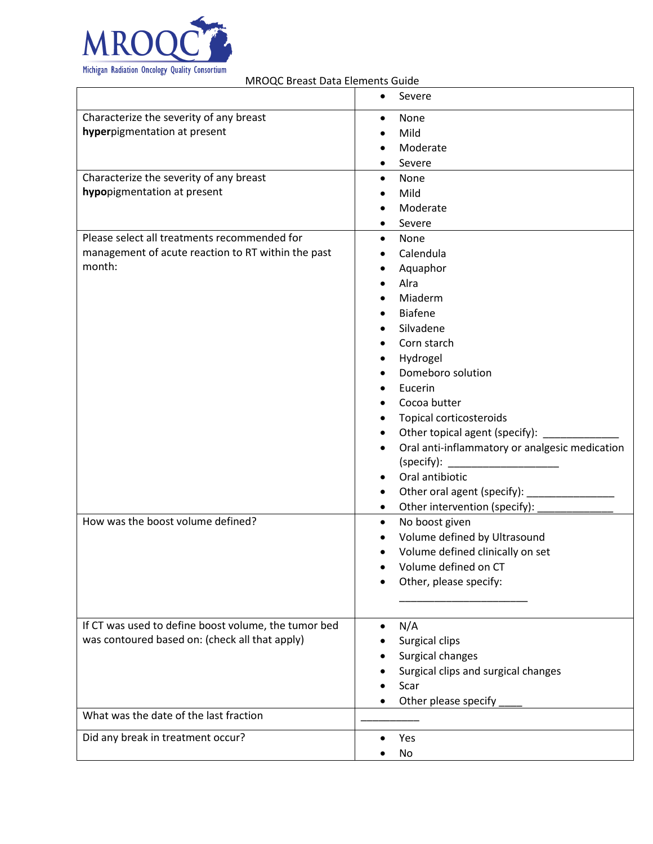

|                                                      | Severe<br>$\bullet$                                         |
|------------------------------------------------------|-------------------------------------------------------------|
| Characterize the severity of any breast              | None<br>$\bullet$                                           |
| hyperpigmentation at present                         | Mild                                                        |
|                                                      | Moderate                                                    |
|                                                      | Severe                                                      |
| Characterize the severity of any breast              | None<br>$\bullet$                                           |
| hypopigmentation at present                          | Mild                                                        |
|                                                      | Moderate                                                    |
|                                                      | Severe                                                      |
| Please select all treatments recommended for         | None<br>$\bullet$                                           |
| management of acute reaction to RT within the past   | Calendula<br>$\bullet$                                      |
| month:                                               | Aquaphor<br>$\bullet$                                       |
|                                                      | Alra                                                        |
|                                                      | Miaderm                                                     |
|                                                      | <b>Biafene</b>                                              |
|                                                      | Silvadene                                                   |
|                                                      | Corn starch                                                 |
|                                                      | Hydrogel<br>$\bullet$                                       |
|                                                      | Domeboro solution                                           |
|                                                      | Eucerin                                                     |
|                                                      | Cocoa butter<br>$\bullet$                                   |
|                                                      | Topical corticosteroids                                     |
|                                                      | Other topical agent (specify):<br>٠                         |
|                                                      | Oral anti-inflammatory or analgesic medication<br>$\bullet$ |
|                                                      | (specify):                                                  |
|                                                      | Oral antibiotic                                             |
|                                                      | Other oral agent (specify):<br>٠                            |
|                                                      | Other intervention (specify):<br>٠                          |
| How was the boost volume defined?                    | No boost given<br>$\bullet$                                 |
|                                                      | Volume defined by Ultrasound                                |
|                                                      | Volume defined clinically on set                            |
|                                                      | Volume defined on CT                                        |
|                                                      | Other, please specify:                                      |
|                                                      |                                                             |
| If CT was used to define boost volume, the tumor bed | N/A<br>$\bullet$                                            |
| was contoured based on: (check all that apply)       | Surgical clips                                              |
|                                                      | Surgical changes                                            |
|                                                      | Surgical clips and surgical changes                         |
|                                                      | Scar                                                        |
|                                                      | Other please specify                                        |
| What was the date of the last fraction               |                                                             |
| Did any break in treatment occur?                    | Yes                                                         |
|                                                      | No                                                          |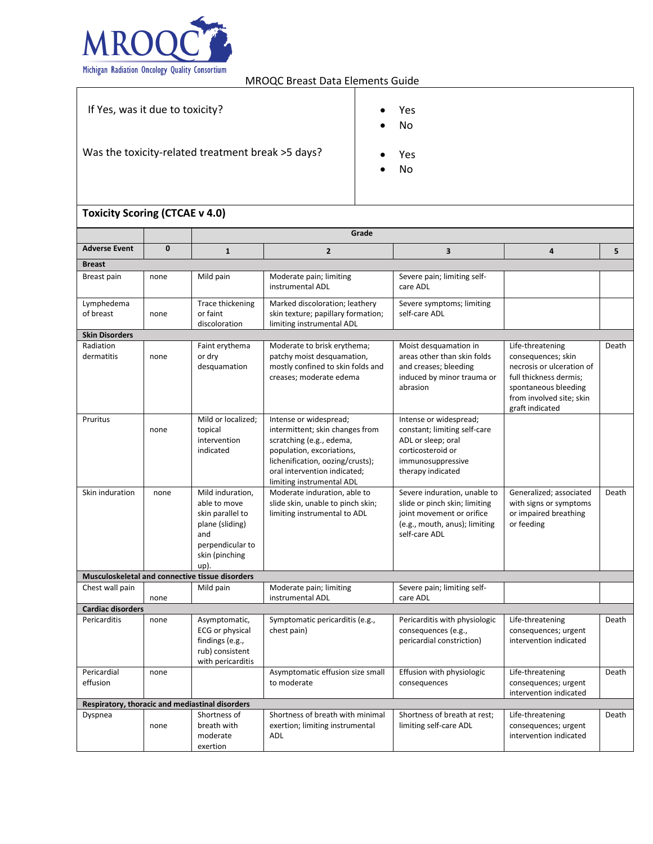

exertion

MROQC Breast Data Elements Guide

| If Yes, was it due to toxicity?                   | Yes<br>No<br>٠ |
|---------------------------------------------------|----------------|
| Was the toxicity-related treatment break >5 days? | Yes<br>No      |

#### **Toxicity Scoring (CTCAE v 4.0) Grade Adverse Event 0 1 2 3 4 5 Breast** Breast pain none Mild pain Moderate pain; limiting instrumental ADL Severe pain; limiting selfcare ADL Lymphedema of breast none Trace thickening or faint discoloration Marked discoloration; leathery skin texture; papillary formation; limiting instrumental ADL Severe symptoms; limiting self-care ADL **Skin Disorders** Radiation dermatitis none Faint erythema or dry desquamation Moderate to brisk erythema; patchy moist desquamation, mostly confined to skin folds and creases; moderate edema Moist desquamation in areas other than skin folds and creases; bleeding induced by minor trauma or abrasion Life-threatening consequences; skin necrosis or ulceration of full thickness dermis; spontaneous bleeding from involved site; skin graft indicated Death Pruritus none Mild or localized; topical intervention indicated Intense or widespread; intermittent; skin changes from scratching (e.g., edema, population, excoriations, lichenification, oozing/crusts); oral intervention indicated; limiting instrumental ADL Intense or widespread; constant; limiting self-care ADL or sleep; oral corticosteroid or immunosuppressive therapy indicated Skin induration none Mild induration, able to move skin parallel to plane (sliding) and perpendicular to skin (pinching up). Moderate induration, able to slide skin, unable to pinch skin; limiting instrumental to ADL Severe induration, unable to slide or pinch skin; limiting joint movement or orifice (e.g., mouth, anus); limiting self-care ADL Generalized; associated with signs or symptoms or impaired breathing or feeding Death **Musculoskeletal and connective tissue disorders** Chest wall pain none Mild pain | Moderate pain; limiting instrumental ADL Severe pain; limiting selfcare ADL **Cardiac disorders** Pericarditis none Asymptomatic, ECG or physical findings (e.g., rub) consistent with pericarditis Symptomatic pericarditis (e.g., chest pain) Pericarditis with physiologic consequences (e.g., pericardial constriction) Life-threatening consequences; urgent intervention indicated Death Pericardial effusion none and Asymptomatic effusion size small to moderate Effusion with physiologic consequences Life-threatening consequences; urgent intervention indicated Death **Respiratory, thoracic and mediastinal disorders** Dyspnea none Shortness of breath with moderate Shortness of breath with minimal exertion; limiting instrumental ADL Shortness of breath at rest; limiting self-care ADL Life-threatening consequences; urgent intervention indicated Death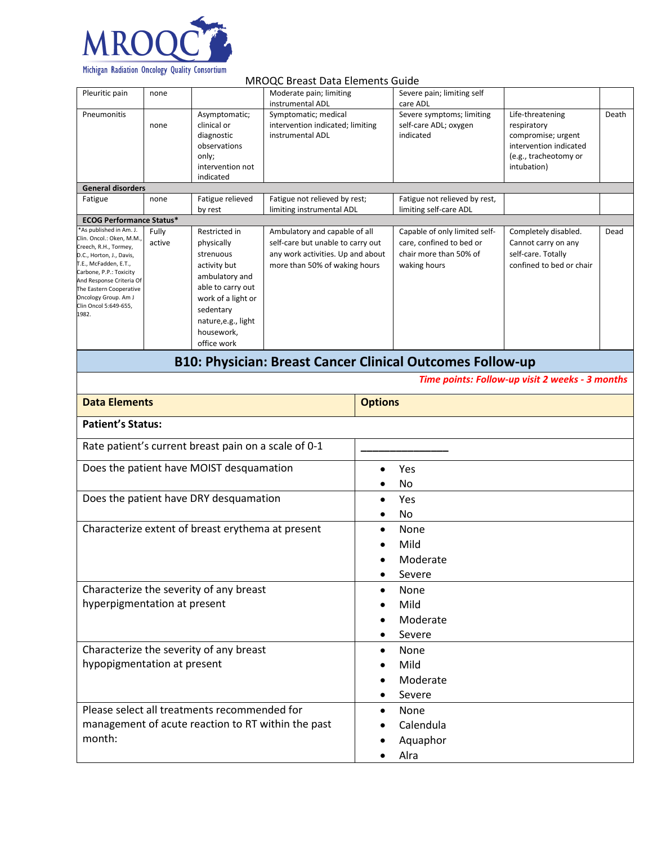

#### MROQC Breast Data Elements Guide Pleuritic pain none Moderate pain; limiting instrumental ADL Severe pain; limiting self care ADL **Pneumonitis** none Asymptomatic; clinical or diagnostic observations only; intervention not indicated Symptomatic; medical intervention indicated; limiting instrumental ADL Severe symptoms; limiting self-care ADL; oxygen indicated Life-threatening respiratory compromise; urgent intervention indicated (e.g., tracheotomy or intubation) Death **General disorders** Fatigue none Fatigue relieved by rest Fatigue not relieved by rest; limiting instrumental ADL Fatigue not relieved by rest, limiting self-care ADL **ECOG Performance Status\*** \*As published in Am. J. Clin. Oncol.: Oken, M.M., Creech, R.H., Tormey, D.C., Horton, J., Davis, T.E., McFadden, E.T., Carbone, P.P.: Toxicity And Response Criteria Of The Eastern Cooperative Oncology Group. Am J Clin Oncol 5:649-655, 1982. Fully active Restricted in physically strenuous activity but ambulatory and able to carry out work of a light or sedentary nature,e.g., light housework, office work Ambulatory and capable of all self-care but unable to carry out any work activities. Up and about more than 50% of waking hours Capable of only limited selfcare, confined to bed or chair more than 50% of waking hours Completely disabled. Cannot carry on any self-care. Totally confined to bed or chair Dead **B10: Physician: Breast Cancer Clinical Outcomes Follow-up** *Time points: Follow-up visit 2 weeks - 3 months* **Data Elements Options Patient's Status:** Rate patient's current breast pain on a scale of 0-1 Does the patient have MOIST desquamation  $\parallel$  • Yes • No Does the patient have DRY desquamation  $\bullet$  Yes • No Characterize extent of breast erythema at present  $\blacksquare$  . None • Mild **Moderate** • Severe Characterize the severity of any breast hyperpigmentation at present • None • Mild • Moderate • Severe Characterize the severity of any breast hypopigmentation at present • None • Mild **Moderate** • Severe Please select all treatments recommended for management of acute reaction to RT within the past month: • None • Calendula • Aquaphor • Alra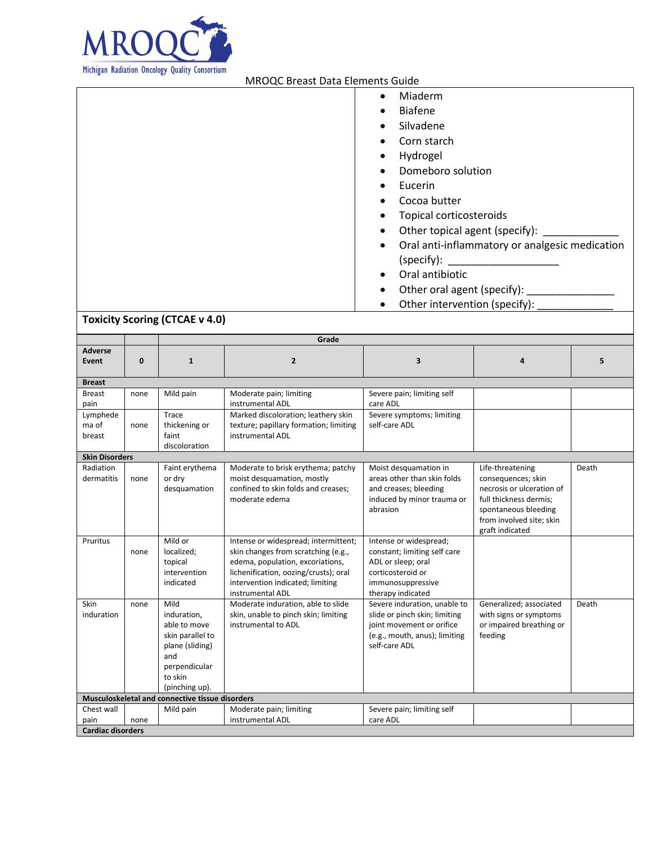

| Miaderm<br>$\bullet$                           |
|------------------------------------------------|
| <b>Biafene</b><br>$\bullet$                    |
| Silvadene<br>$\bullet$                         |
| Corn starch                                    |
| Hydrogel<br>$\bullet$                          |
| Domeboro solution                              |
| Eucerin<br>$\bullet$                           |
| Cocoa butter<br>$\bullet$                      |
| Topical corticosteroids                        |
| Other topical agent (specify):<br>$\bullet$    |
| Oral anti-inflammatory or analgesic medication |
| (specify):                                     |
| Oral antibiotic                                |
| Other oral agent (specify):<br>$\bullet$       |
| Other intervention (specify):                  |

# **Toxicity Scoring (CTCAE v 4.0)**

|                                |             | Grade                                                                                                                           |                                                                                                                                                                                                                  |                                                                                                                                              |                                                                                                                                                                      |       |
|--------------------------------|-------------|---------------------------------------------------------------------------------------------------------------------------------|------------------------------------------------------------------------------------------------------------------------------------------------------------------------------------------------------------------|----------------------------------------------------------------------------------------------------------------------------------------------|----------------------------------------------------------------------------------------------------------------------------------------------------------------------|-------|
| <b>Adverse</b><br><b>Event</b> | $\mathbf 0$ | $\mathbf{1}$                                                                                                                    | $\overline{2}$                                                                                                                                                                                                   | 3                                                                                                                                            | $\boldsymbol{A}$                                                                                                                                                     | 5     |
| <b>Breast</b>                  |             |                                                                                                                                 |                                                                                                                                                                                                                  |                                                                                                                                              |                                                                                                                                                                      |       |
| <b>Breast</b><br>pain          | none        | Mild pain                                                                                                                       | Moderate pain; limiting<br>instrumental ADL                                                                                                                                                                      | Severe pain; limiting self<br>care ADL                                                                                                       |                                                                                                                                                                      |       |
| Lymphede<br>ma of<br>breast    | none        | Trace<br>thickening or<br>faint<br>discoloration                                                                                | Marked discoloration; leathery skin<br>texture; papillary formation; limiting<br>instrumental ADL                                                                                                                | Severe symptoms; limiting<br>self-care ADL                                                                                                   |                                                                                                                                                                      |       |
| <b>Skin Disorders</b>          |             |                                                                                                                                 |                                                                                                                                                                                                                  |                                                                                                                                              |                                                                                                                                                                      |       |
| Radiation<br>dermatitis        | none        | Faint erythema<br>or dry<br>desquamation                                                                                        | Moderate to brisk erythema; patchy<br>moist desquamation, mostly<br>confined to skin folds and creases:<br>moderate edema                                                                                        | Moist desquamation in<br>areas other than skin folds<br>and creases; bleeding<br>induced by minor trauma or<br>abrasion                      | Life-threatening<br>consequences; skin<br>necrosis or ulceration of<br>full thickness dermis:<br>spontaneous bleeding<br>from involved site; skin<br>graft indicated | Death |
| Pruritus                       | none        | Mild or<br>localized;<br>topical<br>intervention<br>indicated                                                                   | Intense or widespread; intermittent;<br>skin changes from scratching (e.g.,<br>edema, population, excoriations,<br>lichenification, oozing/crusts); oral<br>intervention indicated; limiting<br>instrumental ADL | Intense or widespread;<br>constant; limiting self care<br>ADL or sleep; oral<br>corticosteroid or<br>immunosuppressive<br>therapy indicated  |                                                                                                                                                                      |       |
| Skin<br>induration             | none        | Mild<br>induration.<br>able to move<br>skin parallel to<br>plane (sliding)<br>and<br>perpendicular<br>to skin<br>(pinching up). | Moderate induration, able to slide<br>skin, unable to pinch skin; limiting<br>instrumental to ADL                                                                                                                | Severe induration, unable to<br>slide or pinch skin; limiting<br>joint movement or orifice<br>(e.g., mouth, anus); limiting<br>self-care ADL | Generalized; associated<br>with signs or symptoms<br>or impaired breathing or<br>feeding                                                                             | Death |
|                                |             | Musculoskeletal and connective tissue disorders                                                                                 |                                                                                                                                                                                                                  |                                                                                                                                              |                                                                                                                                                                      |       |
| Chest wall<br>pain             | none        | Mild pain                                                                                                                       | Moderate pain; limiting<br>instrumental ADL                                                                                                                                                                      | Severe pain; limiting self<br>care ADL                                                                                                       |                                                                                                                                                                      |       |
| <b>Cardiac disorders</b>       |             |                                                                                                                                 |                                                                                                                                                                                                                  |                                                                                                                                              |                                                                                                                                                                      |       |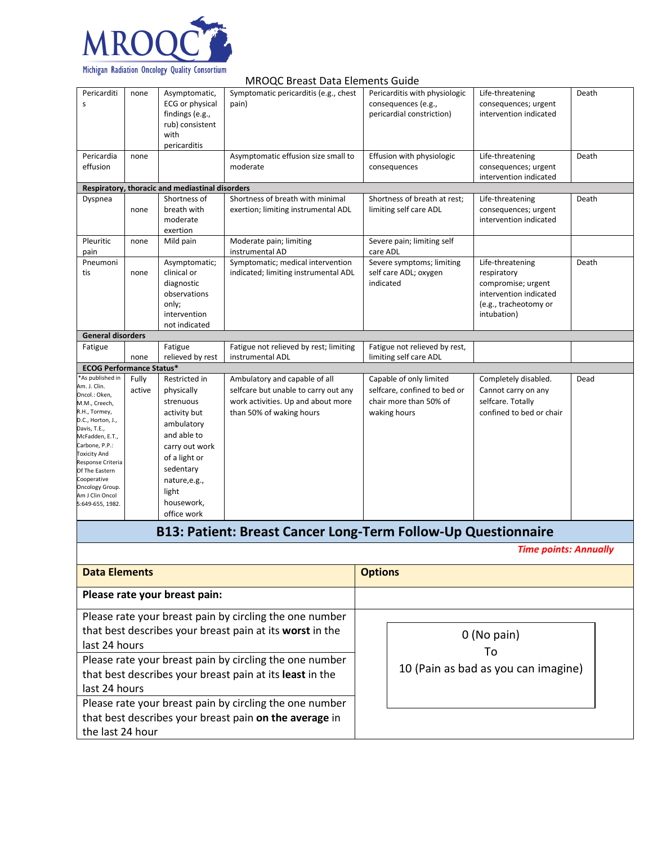

|                                                                                                                                                                                                                                                                                                     |                 |                                                                                                                                                                                              | MROQC Breast Data Elements Guide                                                                                                        |                                                                                                   |                                                                                                                         |       |
|-----------------------------------------------------------------------------------------------------------------------------------------------------------------------------------------------------------------------------------------------------------------------------------------------------|-----------------|----------------------------------------------------------------------------------------------------------------------------------------------------------------------------------------------|-----------------------------------------------------------------------------------------------------------------------------------------|---------------------------------------------------------------------------------------------------|-------------------------------------------------------------------------------------------------------------------------|-------|
| Pericarditi<br>S                                                                                                                                                                                                                                                                                    | none            | Asymptomatic,<br>ECG or physical<br>findings (e.g.,<br>rub) consistent<br>with<br>pericarditis                                                                                               | Symptomatic pericarditis (e.g., chest<br>pain)                                                                                          | Pericarditis with physiologic<br>consequences (e.g.,<br>pericardial constriction)                 | Life-threatening<br>consequences; urgent<br>intervention indicated                                                      | Death |
| Pericardia<br>effusion                                                                                                                                                                                                                                                                              | none            |                                                                                                                                                                                              | Asymptomatic effusion size small to<br>moderate                                                                                         | Effusion with physiologic<br>consequences                                                         | Life-threatening<br>consequences; urgent<br>intervention indicated                                                      | Death |
|                                                                                                                                                                                                                                                                                                     |                 | Respiratory, thoracic and mediastinal disorders                                                                                                                                              |                                                                                                                                         |                                                                                                   |                                                                                                                         |       |
| Dyspnea                                                                                                                                                                                                                                                                                             | none            | Shortness of<br>breath with<br>moderate<br>exertion                                                                                                                                          | Shortness of breath with minimal<br>exertion; limiting instrumental ADL                                                                 | Shortness of breath at rest;<br>limiting self care ADL                                            | Life-threatening<br>consequences; urgent<br>intervention indicated                                                      | Death |
| Pleuritic<br>pain                                                                                                                                                                                                                                                                                   | none            | Mild pain                                                                                                                                                                                    | Moderate pain; limiting<br>instrumental AD                                                                                              | Severe pain; limiting self<br>care ADL                                                            |                                                                                                                         |       |
| Pneumoni<br>tis                                                                                                                                                                                                                                                                                     | none            | Asymptomatic;<br>clinical or<br>diagnostic<br>observations<br>only;<br>intervention<br>not indicated                                                                                         | Symptomatic; medical intervention<br>indicated; limiting instrumental ADL                                                               | Severe symptoms; limiting<br>self care ADL; oxygen<br>indicated                                   | Life-threatening<br>respiratory<br>compromise; urgent<br>intervention indicated<br>(e.g., tracheotomy or<br>intubation) | Death |
| <b>General disorders</b>                                                                                                                                                                                                                                                                            |                 |                                                                                                                                                                                              |                                                                                                                                         |                                                                                                   |                                                                                                                         |       |
| Fatigue                                                                                                                                                                                                                                                                                             | none            | Fatigue<br>relieved by rest                                                                                                                                                                  | Fatigue not relieved by rest; limiting<br>instrumental ADL                                                                              | Fatigue not relieved by rest,<br>limiting self care ADL                                           |                                                                                                                         |       |
| <b>ECOG Performance Status*</b>                                                                                                                                                                                                                                                                     |                 |                                                                                                                                                                                              |                                                                                                                                         |                                                                                                   |                                                                                                                         |       |
| As published in<br>Am. J. Clin.<br>Oncol.: Oken,<br>M.M., Creech,<br>R.H., Tormey,<br>D.C., Horton, J.,<br>Davis, T.E.,<br>McFadden, E.T.,<br>Carbone, P.P.:<br><b>Toxicity And</b><br>Response Criteria<br>Of The Eastern<br>Cooperative<br>Oncology Group.<br>Am J Clin Oncol<br>5:649-655, 1982. | Fully<br>active | Restricted in<br>physically<br>strenuous<br>activity but<br>ambulatory<br>and able to<br>carry out work<br>of a light or<br>sedentary<br>nature, e.g.,<br>light<br>housework,<br>office work | Ambulatory and capable of all<br>selfcare but unable to carry out any<br>work activities. Up and about more<br>than 50% of waking hours | Capable of only limited<br>selfcare, confined to bed or<br>chair more than 50% of<br>waking hours | Completely disabled.<br>Cannot carry on any<br>selfcare. Totally<br>confined to bed or chair                            | Dead  |
|                                                                                                                                                                                                                                                                                                     |                 |                                                                                                                                                                                              | B13: Patient: Breast Cancer Long-Term Follow-Up Questionnaire                                                                           |                                                                                                   |                                                                                                                         |       |
|                                                                                                                                                                                                                                                                                                     |                 |                                                                                                                                                                                              |                                                                                                                                         |                                                                                                   | <b>Time points: Annually</b>                                                                                            |       |
| <b>Data Elements</b>                                                                                                                                                                                                                                                                                |                 |                                                                                                                                                                                              |                                                                                                                                         | <b>Options</b>                                                                                    |                                                                                                                         |       |
|                                                                                                                                                                                                                                                                                                     |                 | Please rate your breast pain:                                                                                                                                                                |                                                                                                                                         |                                                                                                   |                                                                                                                         |       |
| Please rate your breast pain by circling the one number<br>that best describes your breast pain at its worst in the<br>last 24 hours<br>Please rate your breast pain by circling the one number<br>that best describes your breast pain at its least in the<br>last 24 hours                        |                 |                                                                                                                                                                                              |                                                                                                                                         |                                                                                                   | 0 (No pain)<br>To<br>10 (Pain as bad as you can imagine)                                                                |       |
| Please rate your breast pain by circling the one number<br>that best describes your breast pain on the average in<br>the last 24 hour                                                                                                                                                               |                 |                                                                                                                                                                                              |                                                                                                                                         |                                                                                                   |                                                                                                                         |       |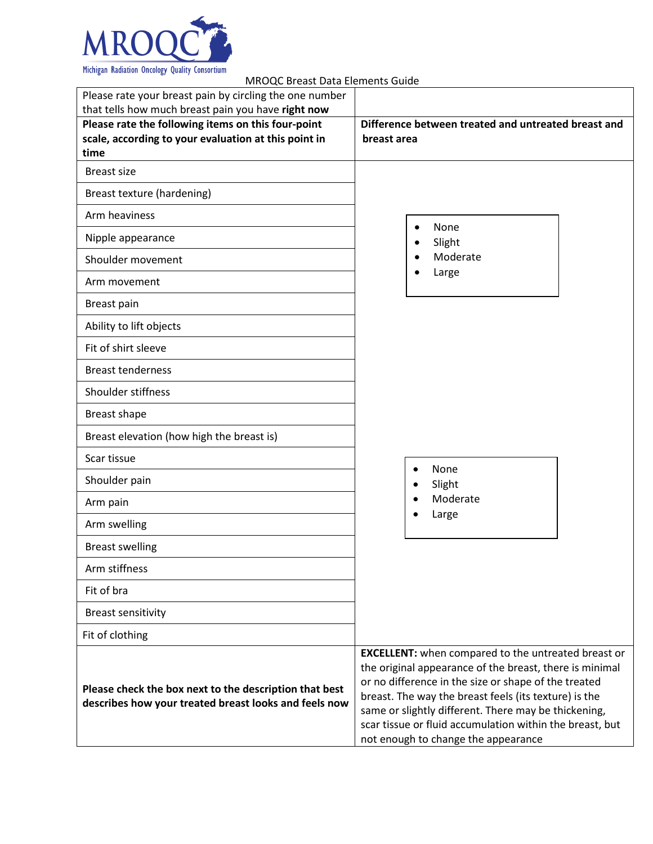

 MROQC Breast Data Elements Guide • None • Slight • Moderate • Large Please rate your breast pain by circling the one number that tells how much breast pain you have **right now Please rate the following items on this four-point scale, according to your evaluation at this point in time Difference between treated and untreated breast and breast area** Breast size Breast texture (hardening) Arm heaviness Nipple appearance Shoulder movement Arm movement Breast pain Ability to lift objects Fit of shirt sleeve Breast tenderness Shoulder stiffness Breast shape Breast elevation (how high the breast is) Scar tissue Shoulder pain Arm pain Arm swelling Breast swelling Arm stiffness Fit of bra Breast sensitivity Fit of clothing **Please check the box next to the description that best describes how your treated breast looks and feels now EXCELLENT:** when compared to the untreated breast or the original appearance of the breast, there is minimal or no difference in the size or shape of the treated breast. The way the breast feels (its texture) is the same or slightly different. There may be thickening, scar tissue or fluid accumulation within the breast, but not enough to change the appearance • None • Slight • Moderate • Large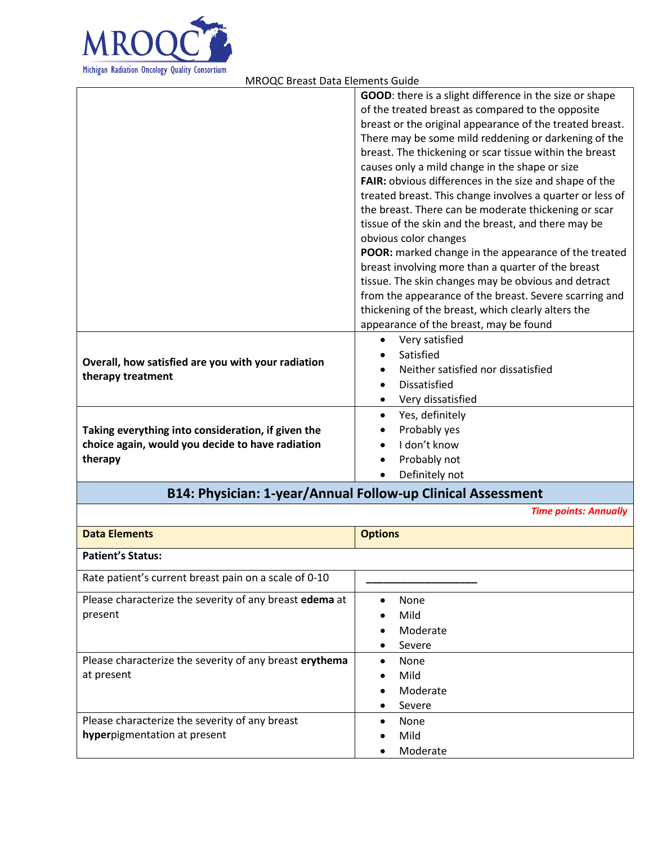

|                                                    | GOOD: there is a slight difference in the size or shape   |
|----------------------------------------------------|-----------------------------------------------------------|
|                                                    | of the treated breast as compared to the opposite         |
|                                                    | breast or the original appearance of the treated breast.  |
|                                                    | There may be some mild reddening or darkening of the      |
|                                                    | breast. The thickening or scar tissue within the breast   |
|                                                    | causes only a mild change in the shape or size            |
|                                                    | FAIR: obvious differences in the size and shape of the    |
|                                                    | treated breast. This change involves a quarter or less of |
|                                                    | the breast. There can be moderate thickening or scar      |
|                                                    | tissue of the skin and the breast, and there may be       |
|                                                    | obvious color changes                                     |
|                                                    | POOR: marked change in the appearance of the treated      |
|                                                    | breast involving more than a quarter of the breast        |
|                                                    | tissue. The skin changes may be obvious and detract       |
|                                                    | from the appearance of the breast. Severe scarring and    |
|                                                    | thickening of the breast, which clearly alters the        |
|                                                    | appearance of the breast, may be found                    |
|                                                    | Very satisfied                                            |
| Overall, how satisfied are you with your radiation | Satisfied                                                 |
| therapy treatment                                  | Neither satisfied nor dissatisfied                        |
|                                                    | <b>Dissatisfied</b>                                       |
|                                                    | Very dissatisfied<br>$\bullet$                            |
|                                                    | Yes, definitely                                           |
| Taking everything into consideration, if given the | Probably yes                                              |
| choice again, would you decide to have radiation   | I don't know                                              |
| therapy                                            | Probably not                                              |
|                                                    | Definitely not                                            |
|                                                    |                                                           |

## **B14: Physician: 1-year/Annual Follow-up Clinical Assessment**

*Time points: Annually*

| <b>Data Elements</b>                                    | <b>Options</b> |
|---------------------------------------------------------|----------------|
|                                                         |                |
| <b>Patient's Status:</b>                                |                |
|                                                         |                |
| Rate patient's current breast pain on a scale of 0-10   |                |
| Please characterize the severity of any breast edema at | None           |
| present                                                 | Mild           |
|                                                         | Moderate       |
|                                                         | Severe         |
| Please characterize the severity of any breast erythema | None           |
| at present                                              | Mild           |
|                                                         | Moderate       |
|                                                         | Severe         |
| Please characterize the severity of any breast          | None           |
| hyperpigmentation at present                            | Mild           |
|                                                         | Moderate       |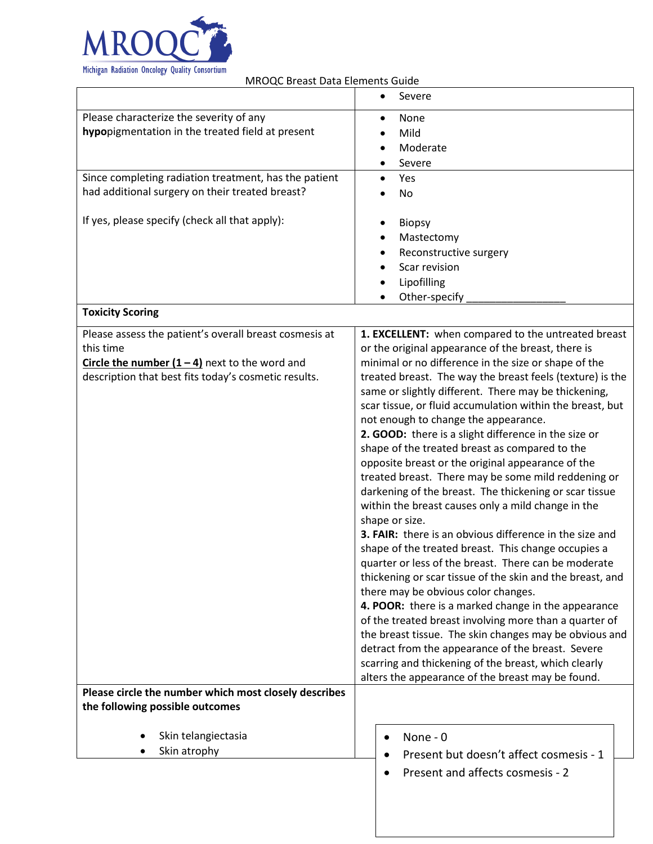

|                                                        | Severe<br>$\bullet$                                                                                      |
|--------------------------------------------------------|----------------------------------------------------------------------------------------------------------|
| Please characterize the severity of any                | None<br>$\bullet$                                                                                        |
| hypopigmentation in the treated field at present       | Mild                                                                                                     |
|                                                        | Moderate                                                                                                 |
|                                                        | Severe                                                                                                   |
| Since completing radiation treatment, has the patient  | Yes<br>$\bullet$                                                                                         |
| had additional surgery on their treated breast?        | No                                                                                                       |
|                                                        |                                                                                                          |
| If yes, please specify (check all that apply):         | <b>Biopsy</b>                                                                                            |
|                                                        | Mastectomy                                                                                               |
|                                                        | Reconstructive surgery                                                                                   |
|                                                        | Scar revision                                                                                            |
|                                                        | Lipofilling                                                                                              |
|                                                        | Other-specify                                                                                            |
| <b>Toxicity Scoring</b>                                |                                                                                                          |
| Please assess the patient's overall breast cosmesis at | 1. EXCELLENT: when compared to the untreated breast                                                      |
| this time                                              | or the original appearance of the breast, there is                                                       |
| Circle the number $(1 - 4)$ next to the word and       | minimal or no difference in the size or shape of the                                                     |
| description that best fits today's cosmetic results.   | treated breast. The way the breast feels (texture) is the                                                |
|                                                        | same or slightly different. There may be thickening,                                                     |
|                                                        | scar tissue, or fluid accumulation within the breast, but                                                |
|                                                        | not enough to change the appearance.                                                                     |
|                                                        | 2. GOOD: there is a slight difference in the size or                                                     |
|                                                        | shape of the treated breast as compared to the                                                           |
|                                                        | opposite breast or the original appearance of the<br>treated breast. There may be some mild reddening or |
|                                                        | darkening of the breast. The thickening or scar tissue                                                   |
|                                                        | within the breast causes only a mild change in the                                                       |
|                                                        | shape or size.                                                                                           |
|                                                        | 3. FAIR: there is an obvious difference in the size and                                                  |
|                                                        | shape of the treated breast. This change occupies a                                                      |
|                                                        | quarter or less of the breast. There can be moderate                                                     |
|                                                        | thickening or scar tissue of the skin and the breast, and                                                |
|                                                        | there may be obvious color changes.                                                                      |
|                                                        | 4. POOR: there is a marked change in the appearance                                                      |
|                                                        | of the treated breast involving more than a quarter of                                                   |
|                                                        | the breast tissue. The skin changes may be obvious and                                                   |
|                                                        | detract from the appearance of the breast. Severe                                                        |
|                                                        | scarring and thickening of the breast, which clearly                                                     |
|                                                        | alters the appearance of the breast may be found.                                                        |
| Please circle the number which most closely describes  |                                                                                                          |
| the following possible outcomes                        |                                                                                                          |
| Skin telangiectasia                                    | None - 0                                                                                                 |
| Skin atrophy                                           |                                                                                                          |
|                                                        | Present but doesn't affect cosmesis - 1                                                                  |
|                                                        | Present and affects cosmesis - 2                                                                         |
|                                                        |                                                                                                          |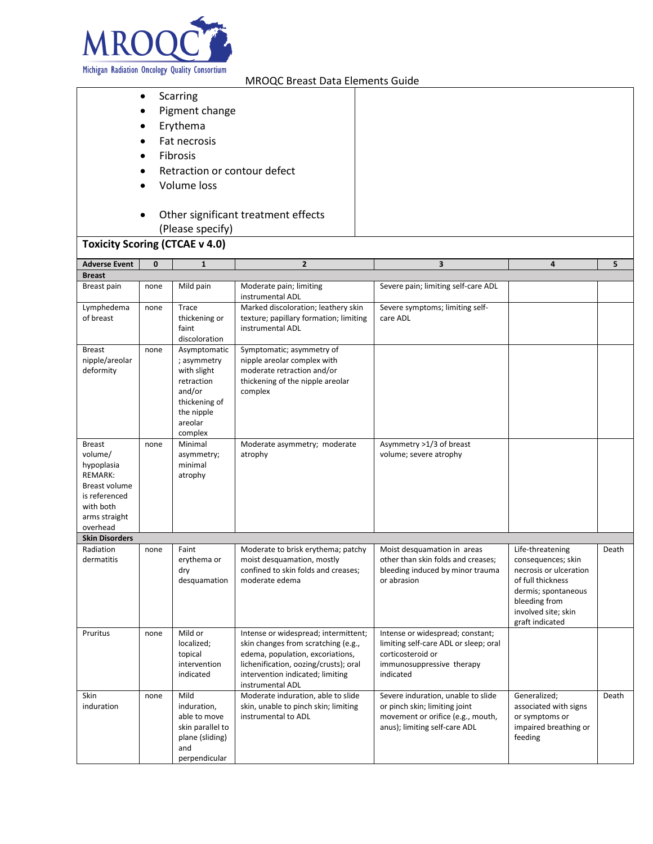

- Scarring
- Pigment change
- **Erythema**
- Fat necrosis
- **Fibrosis**
- Retraction or contour defect
- Volume loss
- Other significant treatment effects (Please specify)

## **Toxicity Scoring (CTCAE v 4.0)**

| <b>Adverse Event</b>                                                                                                                 | $\mathbf{0}$ | $\mathbf{1}$                                                                                                            | $\overline{2}$                                                                                                                                                                                                   | $\overline{\mathbf{3}}$                                                                                                                   | 4                                                                                                                                                                       | 5     |
|--------------------------------------------------------------------------------------------------------------------------------------|--------------|-------------------------------------------------------------------------------------------------------------------------|------------------------------------------------------------------------------------------------------------------------------------------------------------------------------------------------------------------|-------------------------------------------------------------------------------------------------------------------------------------------|-------------------------------------------------------------------------------------------------------------------------------------------------------------------------|-------|
| <b>Breast</b>                                                                                                                        |              |                                                                                                                         |                                                                                                                                                                                                                  |                                                                                                                                           |                                                                                                                                                                         |       |
| Breast pain                                                                                                                          | none         | Mild pain                                                                                                               | Moderate pain; limiting<br>instrumental ADL                                                                                                                                                                      | Severe pain; limiting self-care ADL                                                                                                       |                                                                                                                                                                         |       |
| Lymphedema<br>of breast                                                                                                              | none         | Trace<br>thickening or<br>faint<br>discoloration                                                                        | Marked discoloration; leathery skin<br>texture; papillary formation; limiting<br>instrumental ADL                                                                                                                | Severe symptoms; limiting self-<br>care ADL                                                                                               |                                                                                                                                                                         |       |
| <b>Breast</b><br>nipple/areolar<br>deformity                                                                                         | none         | Asymptomatic<br>; asymmetry<br>with slight<br>retraction<br>and/or<br>thickening of<br>the nipple<br>areolar<br>complex | Symptomatic; asymmetry of<br>nipple areolar complex with<br>moderate retraction and/or<br>thickening of the nipple areolar<br>complex                                                                            |                                                                                                                                           |                                                                                                                                                                         |       |
| <b>Breast</b><br>volume/<br>hypoplasia<br><b>REMARK:</b><br>Breast volume<br>is referenced<br>with both<br>arms straight<br>overhead | none         | Minimal<br>asymmetry;<br>minimal<br>atrophy                                                                             | Moderate asymmetry; moderate<br>atrophy                                                                                                                                                                          | Asymmetry >1/3 of breast<br>volume; severe atrophy                                                                                        |                                                                                                                                                                         |       |
| <b>Skin Disorders</b>                                                                                                                |              |                                                                                                                         |                                                                                                                                                                                                                  |                                                                                                                                           |                                                                                                                                                                         |       |
| Radiation<br>dermatitis                                                                                                              | none         | Faint<br>erythema or<br>dry<br>desquamation                                                                             | Moderate to brisk erythema; patchy<br>moist desquamation, mostly<br>confined to skin folds and creases;<br>moderate edema                                                                                        | Moist desquamation in areas<br>other than skin folds and creases;<br>bleeding induced by minor trauma<br>or abrasion                      | Life-threatening<br>consequences; skin<br>necrosis or ulceration<br>of full thickness<br>dermis; spontaneous<br>bleeding from<br>involved site; skin<br>graft indicated | Death |
| Pruritus                                                                                                                             | none         | Mild or<br>localized;<br>topical<br>intervention<br>indicated                                                           | Intense or widespread; intermittent;<br>skin changes from scratching (e.g.,<br>edema, population, excoriations,<br>lichenification, oozing/crusts); oral<br>intervention indicated; limiting<br>instrumental ADL | Intense or widespread; constant;<br>limiting self-care ADL or sleep; oral<br>corticosteroid or<br>immunosuppressive therapy<br>indicated  |                                                                                                                                                                         |       |
| Skin<br>induration                                                                                                                   | none         | Mild<br>induration,<br>able to move<br>skin parallel to<br>plane (sliding)<br>and<br>perpendicular                      | Moderate induration, able to slide<br>skin, unable to pinch skin; limiting<br>instrumental to ADL                                                                                                                | Severe induration, unable to slide<br>or pinch skin; limiting joint<br>movement or orifice (e.g., mouth,<br>anus); limiting self-care ADL | Generalized;<br>associated with signs<br>or symptoms or<br>impaired breathing or<br>feeding                                                                             | Death |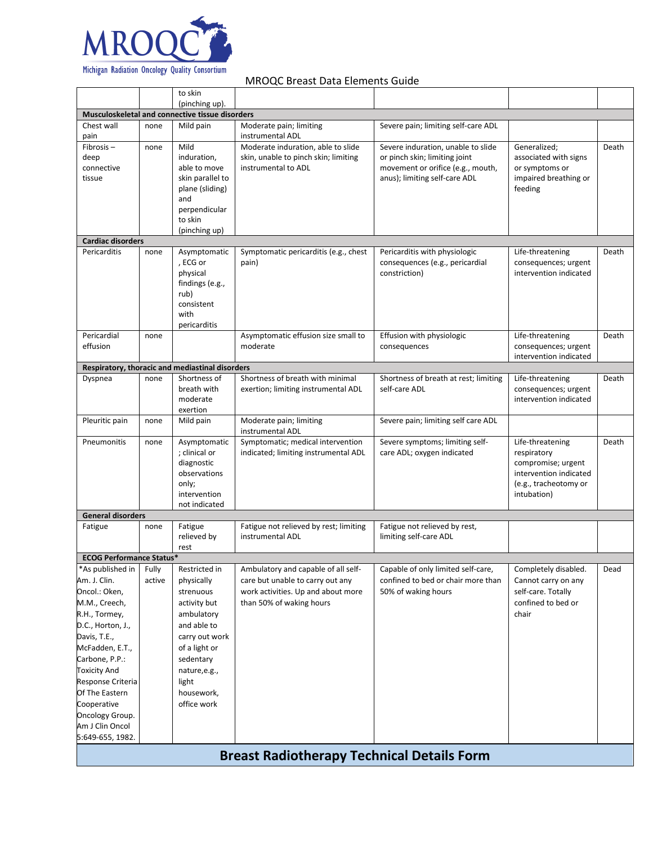

|                                    |        | to skin                                         |                                                                            |                                                                     |                                          |       |
|------------------------------------|--------|-------------------------------------------------|----------------------------------------------------------------------------|---------------------------------------------------------------------|------------------------------------------|-------|
|                                    |        | (pinching up).                                  |                                                                            |                                                                     |                                          |       |
|                                    |        | Musculoskeletal and connective tissue disorders |                                                                            |                                                                     |                                          |       |
| Chest wall<br>pain                 | none   | Mild pain                                       | Moderate pain; limiting<br>instrumental ADL                                | Severe pain; limiting self-care ADL                                 |                                          |       |
| Fibrosis-<br>deep                  | none   | Mild<br>induration,                             | Moderate induration, able to slide<br>skin, unable to pinch skin; limiting | Severe induration, unable to slide<br>or pinch skin; limiting joint | Generalized;<br>associated with signs    | Death |
| connective<br>tissue               |        | able to move<br>skin parallel to                | instrumental to ADL                                                        | movement or orifice (e.g., mouth,<br>anus); limiting self-care ADL  | or symptoms or<br>impaired breathing or  |       |
|                                    |        | plane (sliding)<br>and                          |                                                                            |                                                                     | feeding                                  |       |
|                                    |        | perpendicular<br>to skin                        |                                                                            |                                                                     |                                          |       |
|                                    |        | (pinching up)                                   |                                                                            |                                                                     |                                          |       |
| <b>Cardiac disorders</b>           |        |                                                 |                                                                            |                                                                     |                                          |       |
| Pericarditis                       | none   | Asymptomatic<br>, ECG or                        | Symptomatic pericarditis (e.g., chest<br>pain)                             | Pericarditis with physiologic<br>consequences (e.g., pericardial    | Life-threatening<br>consequences; urgent | Death |
|                                    |        | physical                                        |                                                                            | constriction)                                                       | intervention indicated                   |       |
|                                    |        | findings (e.g.,                                 |                                                                            |                                                                     |                                          |       |
|                                    |        | rub)                                            |                                                                            |                                                                     |                                          |       |
|                                    |        | consistent                                      |                                                                            |                                                                     |                                          |       |
|                                    |        | with                                            |                                                                            |                                                                     |                                          |       |
| Pericardial                        | none   | pericarditis                                    | Asymptomatic effusion size small to                                        | Effusion with physiologic                                           | Life-threatening                         | Death |
| effusion                           |        |                                                 | moderate                                                                   | consequences                                                        | consequences; urgent                     |       |
|                                    |        |                                                 |                                                                            |                                                                     | intervention indicated                   |       |
|                                    |        | Respiratory, thoracic and mediastinal disorders |                                                                            |                                                                     |                                          |       |
| Dyspnea                            | none   | Shortness of                                    | Shortness of breath with minimal                                           | Shortness of breath at rest; limiting                               | Life-threatening                         | Death |
|                                    |        | breath with                                     | exertion; limiting instrumental ADL                                        | self-care ADL                                                       | consequences; urgent                     |       |
|                                    |        | moderate                                        |                                                                            |                                                                     | intervention indicated                   |       |
| Pleuritic pain                     | none   | exertion<br>Mild pain                           | Moderate pain; limiting                                                    | Severe pain; limiting self care ADL                                 |                                          |       |
|                                    |        |                                                 | instrumental ADL                                                           |                                                                     |                                          |       |
| Pneumonitis                        | none   | Asymptomatic                                    | Symptomatic; medical intervention                                          | Severe symptoms; limiting self-                                     | Life-threatening                         | Death |
|                                    |        | ; clinical or<br>diagnostic                     | indicated; limiting instrumental ADL                                       | care ADL; oxygen indicated                                          | respiratory<br>compromise; urgent        |       |
|                                    |        | observations                                    |                                                                            |                                                                     | intervention indicated                   |       |
|                                    |        | only;                                           |                                                                            |                                                                     | (e.g., tracheotomy or                    |       |
|                                    |        | intervention                                    |                                                                            |                                                                     | intubation)                              |       |
|                                    |        | not indicated                                   |                                                                            |                                                                     |                                          |       |
| <b>General disorders</b>           |        | Fatigue                                         |                                                                            | Fatigue not relieved by rest,                                       |                                          |       |
| Fatigue                            | none   | relieved by                                     | Fatigue not relieved by rest; limiting<br>instrumental ADL                 | limiting self-care ADL                                              |                                          |       |
|                                    |        | rest                                            |                                                                            |                                                                     |                                          |       |
| <b>ECOG Performance Status*</b>    |        |                                                 |                                                                            |                                                                     |                                          |       |
| *As published in                   | Fully  | Restricted in                                   | Ambulatory and capable of all self-                                        | Capable of only limited self-care,                                  | Completely disabled.                     | Dead  |
| Am. J. Clin.                       | active | physically                                      | care but unable to carry out any                                           | confined to bed or chair more than                                  | Cannot carry on any                      |       |
| Oncol.: Oken,                      |        | strenuous                                       | work activities. Up and about more                                         | 50% of waking hours                                                 | self-care. Totally                       |       |
| M.M., Creech,                      |        | activity but                                    | than 50% of waking hours                                                   |                                                                     | confined to bed or                       |       |
| R.H., Tormey,<br>D.C., Horton, J., |        | ambulatory                                      |                                                                            |                                                                     | chair                                    |       |
| Davis, T.E.,                       |        | and able to<br>carry out work                   |                                                                            |                                                                     |                                          |       |
| McFadden, E.T.,                    |        | of a light or                                   |                                                                            |                                                                     |                                          |       |
| Carbone, P.P.:                     |        | sedentary                                       |                                                                            |                                                                     |                                          |       |
| <b>Toxicity And</b>                |        | nature,e.g.,                                    |                                                                            |                                                                     |                                          |       |
| Response Criteria                  |        | light                                           |                                                                            |                                                                     |                                          |       |
| Of The Eastern                     |        | housework,                                      |                                                                            |                                                                     |                                          |       |
| Cooperative                        |        | office work                                     |                                                                            |                                                                     |                                          |       |
| Oncology Group.                    |        |                                                 |                                                                            |                                                                     |                                          |       |
| Am J Clin Oncol                    |        |                                                 |                                                                            |                                                                     |                                          |       |
| 5:649-655, 1982.                   |        |                                                 |                                                                            |                                                                     |                                          |       |
|                                    |        |                                                 | <b>Breast Radiotherapy Technical Details Form</b>                          |                                                                     |                                          |       |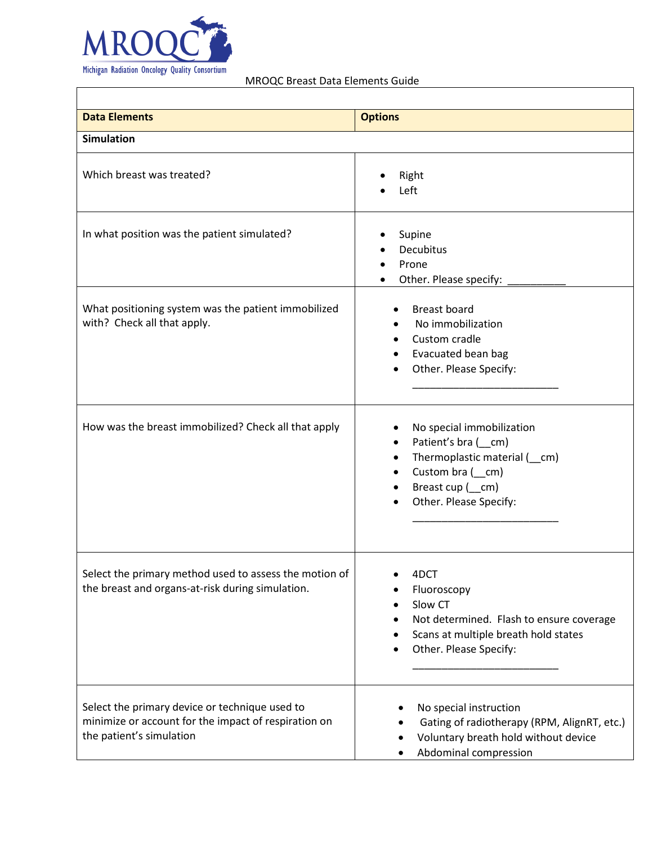

 $\overline{\Gamma}$ 

MROQC Breast Data Elements Guide

٦

| <b>Data Elements</b>                                                                                                               | <b>Options</b>                                                                                                                                                              |
|------------------------------------------------------------------------------------------------------------------------------------|-----------------------------------------------------------------------------------------------------------------------------------------------------------------------------|
| <b>Simulation</b>                                                                                                                  |                                                                                                                                                                             |
| Which breast was treated?                                                                                                          | Right<br>Left                                                                                                                                                               |
| In what position was the patient simulated?                                                                                        | Supine<br>Decubitus<br>Prone<br>$\bullet$<br>Other. Please specify:                                                                                                         |
| What positioning system was the patient immobilized<br>with? Check all that apply.                                                 | <b>Breast board</b><br>No immobilization<br>Custom cradle<br>$\bullet$<br>Evacuated bean bag<br>Other. Please Specify:                                                      |
| How was the breast immobilized? Check all that apply                                                                               | No special immobilization<br>Patient's bra (cm)<br>$\bullet$<br>Thermoplastic material (cm)<br>$\bullet$<br>Custom bra $($ cm)<br>Breast cup (cm)<br>Other. Please Specify: |
| Select the primary method used to assess the motion of<br>the breast and organs-at-risk during simulation.                         | 4DCT<br>Fluoroscopy<br>Slow CT<br>$\bullet$<br>Not determined. Flash to ensure coverage<br>Scans at multiple breath hold states<br>Other. Please Specify:<br>$\bullet$      |
| Select the primary device or technique used to<br>minimize or account for the impact of respiration on<br>the patient's simulation | No special instruction<br>Gating of radiotherapy (RPM, AlignRT, etc.)<br>Voluntary breath hold without device<br>Abdominal compression                                      |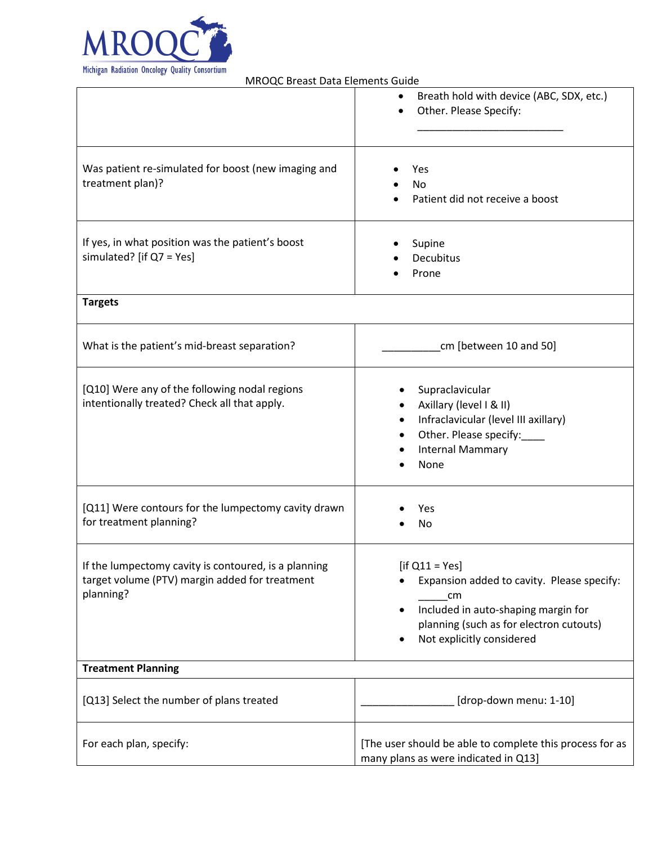

| Was patient re-simulated for boost (new imaging and<br>treatment plan)?                                             | Breath hold with device (ABC, SDX, etc.)<br>$\bullet$<br>Other. Please Specify:<br>$\bullet$<br>Yes<br>No<br>Patient did not receive a boost                                                                   |
|---------------------------------------------------------------------------------------------------------------------|----------------------------------------------------------------------------------------------------------------------------------------------------------------------------------------------------------------|
| If yes, in what position was the patient's boost<br>simulated? [if $Q7 = Yes$ ]                                     | Supine<br><b>Decubitus</b><br>Prone                                                                                                                                                                            |
| <b>Targets</b>                                                                                                      |                                                                                                                                                                                                                |
| What is the patient's mid-breast separation?                                                                        | cm [between 10 and 50]                                                                                                                                                                                         |
| [Q10] Were any of the following nodal regions<br>intentionally treated? Check all that apply.                       | Supraclavicular<br>Axillary (level I & II)<br>Infraclavicular (level III axillary)<br>$\bullet$<br>Other. Please specify:<br><b>Internal Mammary</b><br>None                                                   |
| [Q11] Were contours for the lumpectomy cavity drawn<br>for treatment planning?                                      | Yes<br>No                                                                                                                                                                                                      |
| If the lumpectomy cavity is contoured, is a planning<br>target volume (PTV) margin added for treatment<br>planning? | [if $Q11 = Yes$ ]<br>Expansion added to cavity. Please specify:<br>cm<br>Included in auto-shaping margin for<br>$\bullet$<br>planning (such as for electron cutouts)<br>Not explicitly considered<br>$\bullet$ |
| <b>Treatment Planning</b>                                                                                           |                                                                                                                                                                                                                |
| [Q13] Select the number of plans treated                                                                            | [drop-down menu: 1-10]                                                                                                                                                                                         |
| For each plan, specify:                                                                                             | [The user should be able to complete this process for as<br>many plans as were indicated in Q13]                                                                                                               |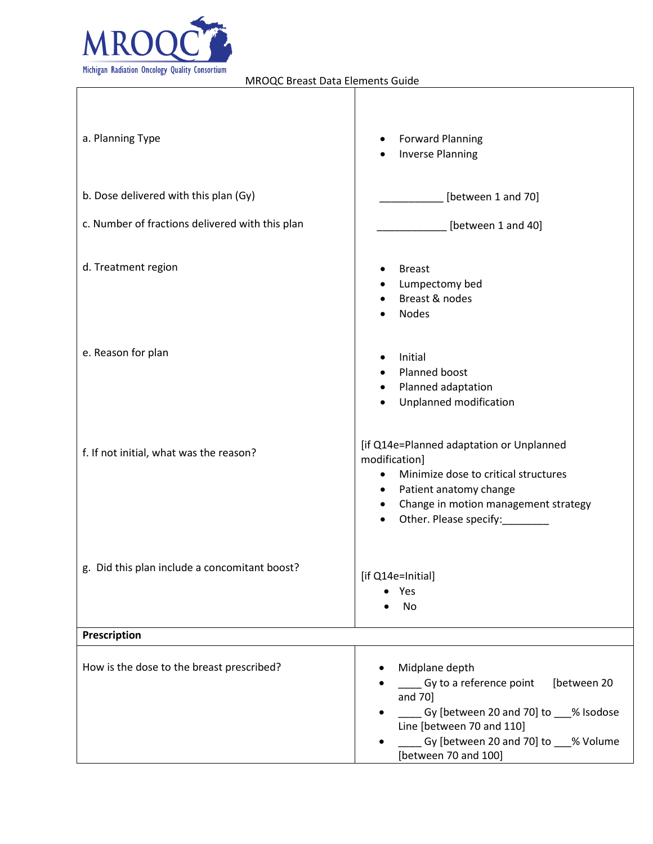

| a. Planning Type                                | <b>Forward Planning</b><br>$\bullet$<br><b>Inverse Planning</b><br>٠                                                                                                                                                                              |
|-------------------------------------------------|---------------------------------------------------------------------------------------------------------------------------------------------------------------------------------------------------------------------------------------------------|
| b. Dose delivered with this plan (Gy)           | [between 1 and 70]                                                                                                                                                                                                                                |
| c. Number of fractions delivered with this plan | [between 1 and 40]                                                                                                                                                                                                                                |
| d. Treatment region                             | <b>Breast</b><br>Lumpectomy bed<br>٠<br>Breast & nodes<br><b>Nodes</b>                                                                                                                                                                            |
| e. Reason for plan                              | Initial<br>Planned boost<br>Planned adaptation<br>$\bullet$<br>Unplanned modification<br>٠                                                                                                                                                        |
| f. If not initial, what was the reason?         | [if Q14e=Planned adaptation or Unplanned<br>modification]<br>Minimize dose to critical structures<br>$\bullet$<br>Patient anatomy change<br>$\bullet$<br>Change in motion management strategy<br>$\bullet$<br>Other. Please specify:<br>$\bullet$ |
| g. Did this plan include a concomitant boost?   | [if Q14e=Initial]<br>Yes<br>No                                                                                                                                                                                                                    |
| Prescription                                    |                                                                                                                                                                                                                                                   |
| How is the dose to the breast prescribed?       | Midplane depth<br>__ Gy to a reference point<br>[between 20<br>and 70]<br>Gy [between 20 and 70] to ___% Isodose<br>Line [between 70 and 110]<br>Gy [between 20 and 70] to ___% Volume<br>[between 70 and 100]                                    |